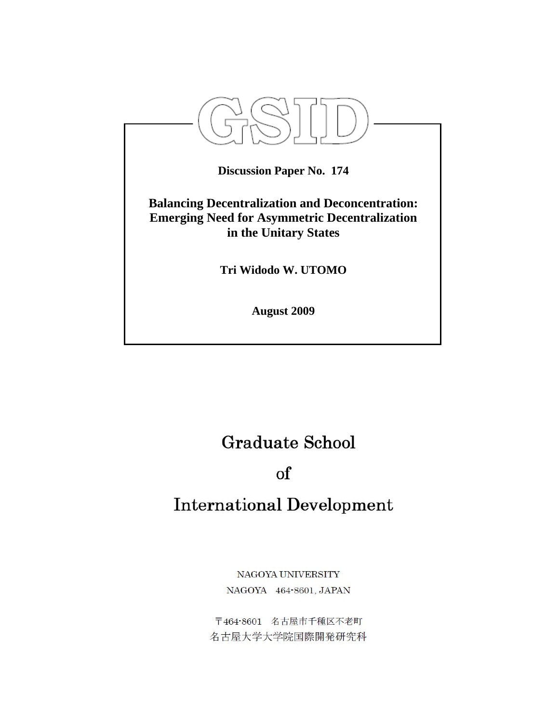

# **Graduate School**

## $\alpha$

## **International Development**

NAGOYA UNIVERSITY NAGOYA 464-8601, JAPAN

〒464-8601 名古屋市千種区不老町 名古屋大学大学院国際開発研究科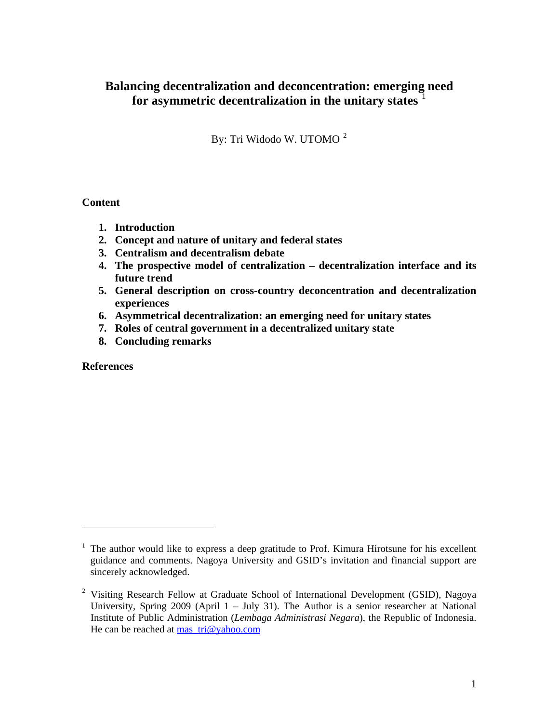## **Balancing decentralization and deconcentration: emerging need for asymmetric decentralization in the unitary states** [1](#page-1-0)

By: Tri Widodo W. UTOMO<sup>[2](#page-1-1)</sup>

## **Content**

- **1. Introduction**
- **2. Concept and nature of unitary and federal states**
- **3. Centralism and decentralism debate**
- **4. The prospective model of centralization decentralization interface and its future trend**
- **5. General description on cross-country deconcentration and decentralization experiences**
- **6. Asymmetrical decentralization: an emerging need for unitary states**
- **7. Roles of central government in a decentralized unitary state**
- **8. Concluding remarks**

**References** 

<span id="page-1-0"></span> $<sup>1</sup>$  The author would like to express a deep gratitude to Prof. Kimura Hirotsune for his excellent</sup> guidance and comments. Nagoya University and GSID's invitation and financial support are sincerely acknowledged.

<span id="page-1-1"></span><sup>&</sup>lt;sup>2</sup> Visiting Research Fellow at Graduate School of International Development (GSID), Nagoya University, Spring 2009 (April 1 – July 31). The Author is a senior researcher at National Institute of Public Administration (*Lembaga Administrasi Negara*), the Republic of Indonesia. He can be reached at mas  $tri@yahoo.com$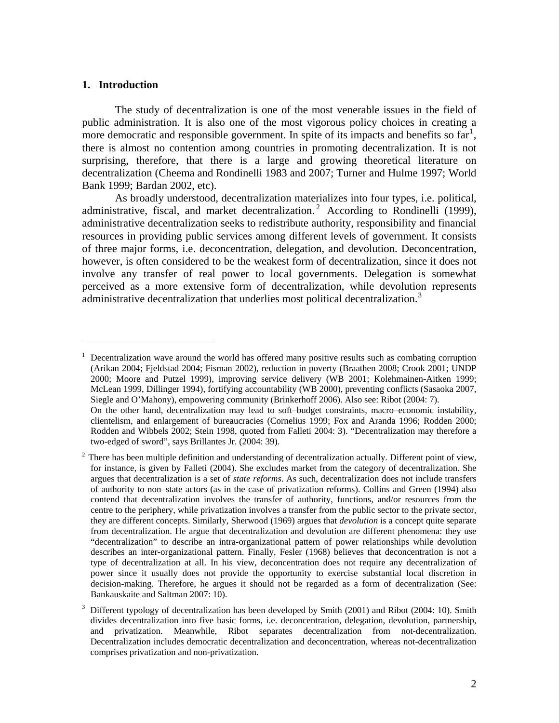#### **1. Introduction**

 $\overline{a}$ 

The study of decentralization is one of the most venerable issues in the field of public administration. It is also one of the most vigorous policy choices in creating a more democratic and responsible government. In spite of its impacts and benefits so  $\arctan$ <sup>[1](#page-2-0)</sup>, there is almost no contention among countries in promoting decentralization. It is not surprising, therefore, that there is a large and growing theoretical literature on decentralization (Cheema and Rondinelli 1983 and 2007; Turner and Hulme 1997; World Bank 1999; Bardan 2002, etc).

As broadly understood, decentralization materializes into four types, i.e. political, administrative, fiscal, and market decentralization.<sup>[2](#page-2-1)</sup> According to Rondinelli (1999), administrative decentralization seeks to redistribute authority, responsibility and financial resources in providing public services among different levels of government. It consists of three major forms, i.e. deconcentration, delegation, and devolution. Deconcentration, however, is often considered to be the weakest form of decentralization, since it does not involve any transfer of real power to local governments. Delegation is somewhat perceived as a more extensive form of decentralization, while devolution represents administrative decentralization that underlies most political decentralization.<sup>[3](#page-2-2)</sup>

<span id="page-2-0"></span><sup>1</sup> Decentralization wave around the world has offered many positive results such as combating corruption (Arikan 2004; Fjeldstad 2004; Fisman 2002), reduction in poverty (Braathen 2008; Crook 2001; UNDP 2000; Moore and Putzel 1999), improving service delivery (WB 2001; Kolehmainen-Aitken 1999; McLean 1999, Dillinger 1994), fortifying accountability (WB 2000), preventing conflicts (Sasaoka 2007, Siegle and O'Mahony), empowering community (Brinkerhoff 2006). Also see: Ribot (2004: 7). On the other hand, decentralization may lead to soft–budget constraints, macro–economic instability, clientelism, and enlargement of bureaucracies (Cornelius 1999; Fox and Aranda 1996; Rodden 2000; Rodden and Wibbels 2002; Stein 1998, quoted from Falleti 2004: 3). "Decentralization may therefore a two-edged of sword", says Brillantes Jr. (2004: 39).

<span id="page-2-1"></span><sup>2</sup> There has been multiple definition and understanding of decentralization actually. Different point of view, for instance, is given by Falleti (2004). She excludes market from the category of decentralization. She argues that decentralization is a set of *state reforms*. As such, decentralization does not include transfers of authority to non–state actors (as in the case of privatization reforms). Collins and Green (1994) also contend that decentralization involves the transfer of authority, functions, and/or resources from the centre to the periphery, while privatization involves a transfer from the public sector to the private sector, they are different concepts. Similarly, Sherwood (1969) argues that *devolution* is a concept quite separate from decentralization. He argue that decentralization and devolution are different phenomena: they use "decentralization" to describe an intra-organizational pattern of power relationships while devolution describes an inter-organizational pattern. Finally, Fesler (1968) believes that deconcentration is not a type of decentralization at all. In his view, deconcentration does not require any decentralization of power since it usually does not provide the opportunity to exercise substantial local discretion in decision-making. Therefore, he argues it should not be regarded as a form of decentralization (See: Bankauskaite and Saltman 2007: 10).

<span id="page-2-2"></span><sup>3</sup> Different typology of decentralization has been developed by Smith (2001) and Ribot (2004: 10). Smith divides decentralization into five basic forms, i.e. deconcentration, delegation, devolution, partnership, and privatization. Meanwhile, Ribot separates decentralization from not-decentralization. Decentralization includes democratic decentralization and deconcentration, whereas not-decentralization comprises privatization and non-privatization.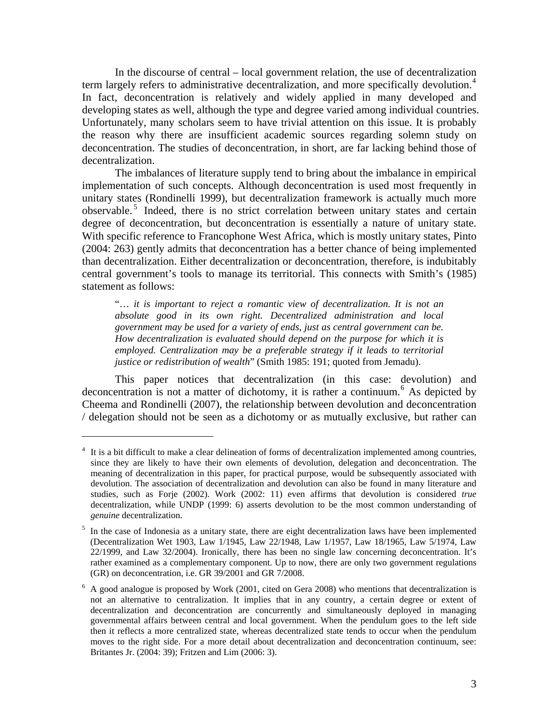In the discourse of central – local government relation, the use of decentralization term largely refers to administrative decentralization, and more specifically devolution.<sup>[4](#page-3-0)</sup> In fact, deconcentration is relatively and widely applied in many developed and developing states as well, although the type and degree varied among individual countries. Unfortunately, many scholars seem to have trivial attention on this issue. It is probably the reason why there are insufficient academic sources regarding solemn study on deconcentration. The studies of deconcentration, in short, are far lacking behind those of decentralization.

The imbalances of literature supply tend to bring about the imbalance in empirical implementation of such concepts. Although deconcentration is used most frequently in unitary states (Rondinelli 1999), but decentralization framework is actually much more observable.<sup>[5](#page-3-1)</sup> Indeed, there is no strict correlation between unitary states and certain degree of deconcentration, but deconcentration is essentially a nature of unitary state. With specific reference to Francophone West Africa, which is mostly unitary states, Pinto (2004: 263) gently admits that deconcentration has a better chance of being implemented than decentralization. Either decentralization or deconcentration, therefore, is indubitably central government's tools to manage its territorial. This connects with Smith's (1985) statement as follows:

"… *it is important to reject a romantic view of decentralization. It is not an absolute good in its own right. Decentralized administration and local government may be used for a variety of ends, just as central government can be. How decentralization is evaluated should depend on the purpose for which it is employed. Centralization may be a preferable strategy if it leads to territorial justice or redistribution of wealth*" (Smith 1985: 191; quoted from Jemadu).

This paper notices that decentralization (in this case: devolution) and deconcentration is not a matter of dichotomy, it is rather a continuum.<sup>[6](#page-3-2)</sup> As depicted by Cheema and Rondinelli (2007), the relationship between devolution and deconcentration / delegation should not be seen as a dichotomy or as mutually exclusive, but rather can

<span id="page-3-0"></span><sup>4</sup> It is a bit difficult to make a clear delineation of forms of decentralization implemented among countries, since they are likely to have their own elements of devolution, delegation and deconcentration. The meaning of decentralization in this paper, for practical purpose, would be subsequently associated with devolution. The association of decentralization and devolution can also be found in many literature and studies, such as Forje (2002). Work (2002: 11) even affirms that devolution is considered *true*  decentralization, while UNDP (1999: 6) asserts devolution to be the most common understanding of *genuine* decentralization.

<span id="page-3-1"></span><sup>&</sup>lt;sup>5</sup> In the case of Indonesia as a unitary state, there are eight decentralization laws have been implemented (Decentralization Wet 1903, Law 1/1945, Law 22/1948, Law 1/1957, Law 18/1965, Law 5/1974, Law 22/1999, and Law 32/2004). Ironically, there has been no single law concerning deconcentration. It's rather examined as a complementary component. Up to now, there are only two government regulations (GR) on deconcentration, i.e. GR 39/2001 and GR 7/2008.

<span id="page-3-2"></span> $6$  A good analogue is proposed by Work (2001, cited on Gera 2008) who mentions that decentralization is not an alternative to centralization. It implies that in any country, a certain degree or extent of decentralization and deconcentration are concurrently and simultaneously deployed in managing governmental affairs between central and local government. When the pendulum goes to the left side then it reflects a more centralized state, whereas decentralized state tends to occur when the pendulum moves to the right side. For a more detail about decentralization and deconcentration continuum, see: Britantes Jr. (2004: 39); Fritzen and Lim (2006: 3).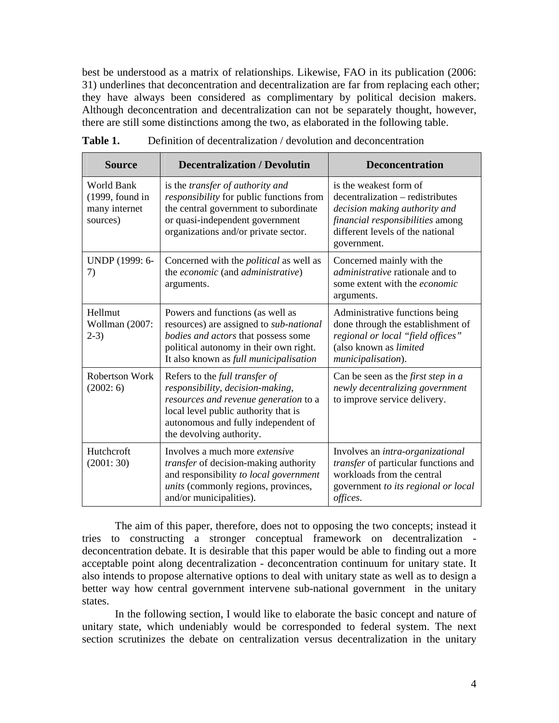best be understood as a matrix of relationships. Likewise, FAO in its publication (2006: 31) underlines that deconcentration and decentralization are far from replacing each other; they have always been considered as complimentary by political decision makers. Although deconcentration and decentralization can not be separately thought, however, there are still some distinctions among the two, as elaborated in the following table.

| <b>Source</b>                                                | <b>Decentralization / Devolutin</b>                                                                                                                                                                                    | <b>Deconcentration</b>                                                                                                                                                             |
|--------------------------------------------------------------|------------------------------------------------------------------------------------------------------------------------------------------------------------------------------------------------------------------------|------------------------------------------------------------------------------------------------------------------------------------------------------------------------------------|
| World Bank<br>$(1999,$ found in<br>many internet<br>sources) | is the transfer of authority and<br>responsibility for public functions from<br>the central government to subordinate<br>or quasi-independent government<br>organizations and/or private sector.                       | is the weakest form of<br>decentralization – redistributes<br>decision making authority and<br>financial responsibilities among<br>different levels of the national<br>government. |
| UNDP (1999: 6-<br>7)                                         | Concerned with the <i>political</i> as well as<br>the economic (and administrative)<br>arguments.                                                                                                                      | Concerned mainly with the<br><i>administrative</i> rationale and to<br>some extent with the economic<br>arguments.                                                                 |
| Hellmut<br>Wollman (2007:<br>$2-3)$                          | Powers and functions (as well as<br>resources) are assigned to sub-national<br>bodies and actors that possess some<br>political autonomy in their own right.<br>It also known as full municipalisation                 | Administrative functions being<br>done through the establishment of<br>regional or local "field offices"<br>(also known as limited<br>municipalisation).                           |
| <b>Robertson Work</b><br>(2002:6)                            | Refers to the full transfer of<br>responsibility, decision-making,<br>resources and revenue generation to a<br>local level public authority that is<br>autonomous and fully independent of<br>the devolving authority. | Can be seen as the <i>first step in a</i><br>newly decentralizing government<br>to improve service delivery.                                                                       |
| Hutchcroft<br>(2001:30)                                      | Involves a much more <i>extensive</i><br>transfer of decision-making authority<br>and responsibility to local government<br>units (commonly regions, provinces,<br>and/or municipalities).                             | Involves an intra-organizational<br>transfer of particular functions and<br>workloads from the central<br>government to its regional or local<br>offices.                          |

The aim of this paper, therefore, does not to opposing the two concepts; instead it tries to constructing a stronger conceptual framework on decentralization deconcentration debate. It is desirable that this paper would be able to finding out a more acceptable point along decentralization - deconcentration continuum for unitary state. It also intends to propose alternative options to deal with unitary state as well as to design a better way how central government intervene sub-national government in the unitary states.

In the following section, I would like to elaborate the basic concept and nature of unitary state, which undeniably would be corresponded to federal system. The next section scrutinizes the debate on centralization versus decentralization in the unitary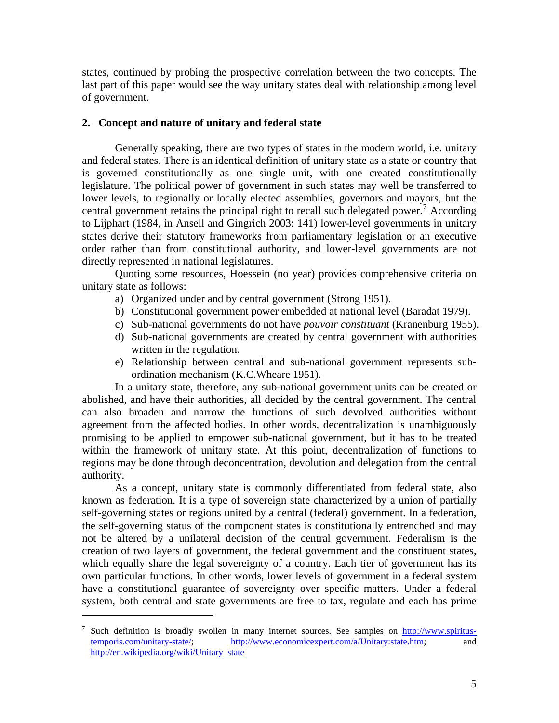states, continued by probing the prospective correlation between the two concepts. The last part of this paper would see the way unitary states deal with relationship among level of government.

#### **2. Concept and nature of unitary and federal state**

Generally speaking, there are two types of states in the modern world, i.e. unitary and federal states. There is an identical definition of unitary state as a state or country that is governed constitutionally as one single unit, with one created constitutionally legislature. The political power of government in such states may well be transferred to lower levels, to regionally or locally elected assemblies, governors and mayors, but the central government retains the principal right to recall such delegated power.<sup>[7](#page-5-0)</sup> According to Lijphart (1984, in Ansell and Gingrich 2003: 141) lower-level governments in unitary states derive their statutory frameworks from parliamentary legislation or an executive order rather than from constitutional authority, and lower-level governments are not directly represented in national legislatures.

Quoting some resources, Hoessein (no year) provides comprehensive criteria on unitary state as follows:

- a) Organized under and by central government (Strong 1951).
- b) Constitutional government power embedded at national level (Baradat 1979).
- c) Sub-national governments do not have *pouvoir constituant* (Kranenburg 1955).
- d) Sub-national governments are created by central government with authorities written in the regulation.
- e) Relationship between central and sub-national government represents subordination mechanism (K.C.Wheare 1951).

In a unitary state, therefore, any sub-national government units can be created or abolished, and have their authorities, all decided by the central government. The central can also broaden and narrow the functions of such devolved authorities without agreement from the affected bodies. In other words, decentralization is unambiguously promising to be applied to empower sub-national government, but it has to be treated within the framework of unitary state. At this point, decentralization of functions to regions may be done through deconcentration, devolution and delegation from the central authority.

As a concept, unitary state is commonly differentiated from federal state, also known as federation. It is a type of sovereign state characterized by a union of partially self-governing states or regions united by a central (federal) government. In a federation, the self-governing status of the component states is constitutionally entrenched and may not be altered by a unilateral decision of the central government. Federalism is the creation of two layers of government, the federal government and the constituent states, which equally share the legal sovereignty of a country. Each tier of government has its own particular functions. In other words, lower levels of government in a federal system have a constitutional guarantee of sovereignty over specific matters. Under a federal system, both central and state governments are free to tax, regulate and each has prime

<span id="page-5-0"></span><sup>&</sup>lt;sup>7</sup> Such definition is broadly swollen in many internet sources. See samples on [http://www.spiritus](http://www.spiritus-temporis.com/unitary-state/)[temporis.com/unitary-state/;](http://www.spiritus-temporis.com/unitary-state/) <http://www.economicexpert.com/a/Unitary:state.htm>; and [http://en.wikipedia.org/wiki/Unitary\\_state](http://en.wikipedia.org/wiki/Unitary_state)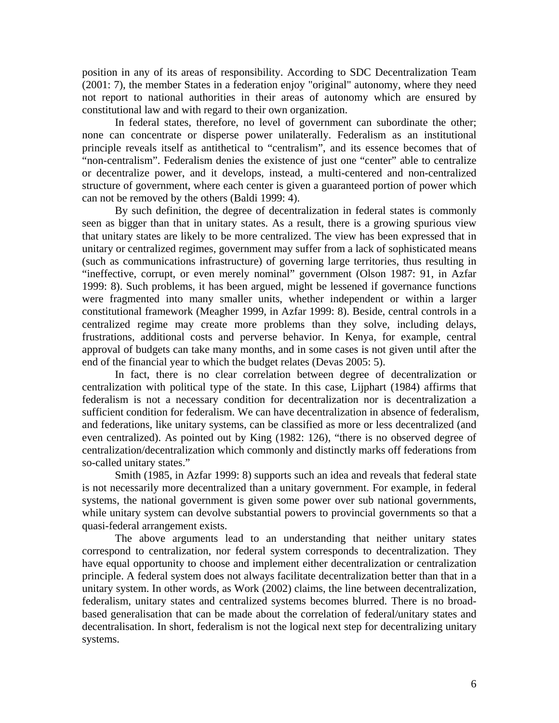position in any of its areas of responsibility. According to SDC Decentralization Team (2001: 7), the member States in a federation enjoy "original" autonomy, where they need not report to national authorities in their areas of autonomy which are ensured by constitutional law and with regard to their own organization.

In federal states, therefore, no level of government can subordinate the other; none can concentrate or disperse power unilaterally. Federalism as an institutional principle reveals itself as antithetical to "centralism", and its essence becomes that of "non-centralism". Federalism denies the existence of just one "center" able to centralize or decentralize power, and it develops, instead, a multi-centered and non-centralized structure of government, where each center is given a guaranteed portion of power which can not be removed by the others (Baldi 1999: 4).

By such definition, the degree of decentralization in federal states is commonly seen as bigger than that in unitary states. As a result, there is a growing spurious view that unitary states are likely to be more centralized. The view has been expressed that in unitary or centralized regimes, government may suffer from a lack of sophisticated means (such as communications infrastructure) of governing large territories, thus resulting in "ineffective, corrupt, or even merely nominal" government (Olson 1987: 91, in Azfar 1999: 8). Such problems, it has been argued, might be lessened if governance functions were fragmented into many smaller units, whether independent or within a larger constitutional framework (Meagher 1999, in Azfar 1999: 8). Beside, central controls in a centralized regime may create more problems than they solve, including delays, frustrations, additional costs and perverse behavior. In Kenya, for example, central approval of budgets can take many months, and in some cases is not given until after the end of the financial year to which the budget relates (Devas 2005: 5).

In fact, there is no clear correlation between degree of decentralization or centralization with political type of the state. In this case, Lijphart (1984) affirms that federalism is not a necessary condition for decentralization nor is decentralization a sufficient condition for federalism. We can have decentralization in absence of federalism, and federations, like unitary systems, can be classified as more or less decentralized (and even centralized). As pointed out by King (1982: 126), "there is no observed degree of centralization/decentralization which commonly and distinctly marks off federations from so-called unitary states."

Smith (1985, in Azfar 1999: 8) supports such an idea and reveals that federal state is not necessarily more decentralized than a unitary government. For example, in federal systems, the national government is given some power over sub national governments, while unitary system can devolve substantial powers to provincial governments so that a quasi-federal arrangement exists.

The above arguments lead to an understanding that neither unitary states correspond to centralization, nor federal system corresponds to decentralization. They have equal opportunity to choose and implement either decentralization or centralization principle. A federal system does not always facilitate decentralization better than that in a unitary system. In other words, as Work (2002) claims, the line between decentralization, federalism, unitary states and centralized systems becomes blurred. There is no broadbased generalisation that can be made about the correlation of federal/unitary states and decentralisation. In short, federalism is not the logical next step for decentralizing unitary systems.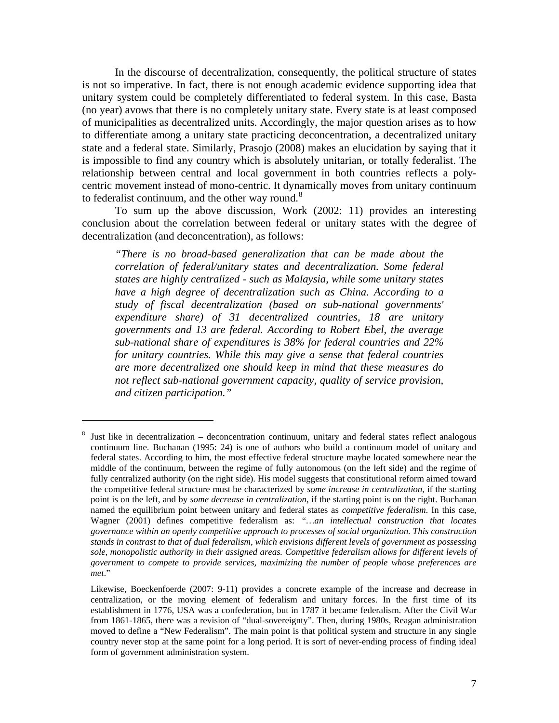In the discourse of decentralization, consequently, the political structure of states is not so imperative. In fact, there is not enough academic evidence supporting idea that unitary system could be completely differentiated to federal system. In this case, Basta (no year) avows that there is no completely unitary state. Every state is at least composed of municipalities as decentralized units. Accordingly, the major question arises as to how to differentiate among a unitary state practicing deconcentration, a decentralized unitary state and a federal state. Similarly, Prasojo (2008) makes an elucidation by saying that it is impossible to find any country which is absolutely unitarian, or totally federalist. The relationship between central and local government in both countries reflects a polycentric movement instead of mono-centric. It dynamically moves from unitary continuum to federalist continuum, and the other way round. $8$ 

To sum up the above discussion, Work (2002: 11) provides an interesting conclusion about the correlation between federal or unitary states with the degree of decentralization (and deconcentration), as follows:

*"There is no broad-based generalization that can be made about the correlation of federal/unitary states and decentralization. Some federal states are highly centralized - such as Malaysia, while some unitary states have a high degree of decentralization such as China. According to a study of fiscal decentralization (based on sub-national governments' expenditure share) of 31 decentralized countries, 18 are unitary governments and 13 are federal. According to Robert Ebel, the average sub-national share of expenditures is 38% for federal countries and 22% for unitary countries. While this may give a sense that federal countries are more decentralized one should keep in mind that these measures do not reflect sub-national government capacity, quality of service provision, and citizen participation."*

<span id="page-7-0"></span><sup>8</sup> Just like in decentralization – deconcentration continuum, unitary and federal states reflect analogous continuum line. Buchanan (1995: 24) is one of authors who build a continuum model of unitary and federal states. According to him, the most effective federal structure maybe located somewhere near the middle of the continuum, between the regime of fully autonomous (on the left side) and the regime of fully centralized authority (on the right side). His model suggests that constitutional reform aimed toward the competitive federal structure must be characterized by *some increase in centralization*, if the starting point is on the left, and by *some decrease in centralization*, if the starting point is on the right. Buchanan named the equilibrium point between unitary and federal states as *competitive federalism*. In this case, Wagner (2001) defines competitive federalism as: *"…an intellectual construction that locates governance within an openly competitive approach to processes of social organization. This construction stands in contrast to that of dual federalism, which envisions different levels of government as possessing sole, monopolistic authority in their assigned areas. Competitive federalism allows for different levels of government to compete to provide services, maximizing the number of people whose preferences are met*."

Likewise, Boeckenfoerde (2007: 9-11) provides a concrete example of the increase and decrease in centralization, or the moving element of federalism and unitary forces. In the first time of its establishment in 1776, USA was a confederation, but in 1787 it became federalism. After the Civil War from 1861-1865, there was a revision of "dual-sovereignty". Then, during 1980s, Reagan administration moved to define a "New Federalism". The main point is that political system and structure in any single country never stop at the same point for a long period. It is sort of never-ending process of finding ideal form of government administration system.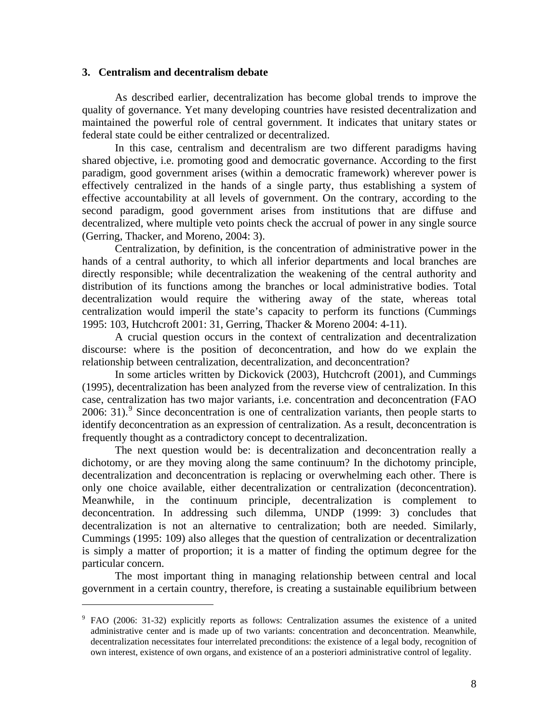#### **3. Centralism and decentralism debate**

 $\overline{a}$ 

As described earlier, decentralization has become global trends to improve the quality of governance. Yet many developing countries have resisted decentralization and maintained the powerful role of central government. It indicates that unitary states or federal state could be either centralized or decentralized.

In this case, centralism and decentralism are two different paradigms having shared objective, i.e. promoting good and democratic governance. According to the first paradigm, good government arises (within a democratic framework) wherever power is effectively centralized in the hands of a single party, thus establishing a system of effective accountability at all levels of government. On the contrary, according to the second paradigm, good government arises from institutions that are diffuse and decentralized, where multiple veto points check the accrual of power in any single source (Gerring, Thacker, and Moreno, 2004: 3).

Centralization, by definition, is the concentration of administrative power in the hands of a central authority, to which all inferior departments and local branches are directly responsible; while decentralization the weakening of the central authority and distribution of its functions among the branches or local administrative bodies. Total decentralization would require the withering away of the state, whereas total centralization would imperil the state's capacity to perform its functions (Cummings 1995: 103, Hutchcroft 2001: 31, Gerring, Thacker & Moreno 2004: 4-11).

A crucial question occurs in the context of centralization and decentralization discourse: where is the position of deconcentration, and how do we explain the relationship between centralization, decentralization, and deconcentration?

In some articles written by Dickovick (2003), Hutchcroft (2001), and Cummings (1995), decentralization has been analyzed from the reverse view of centralization. In this case, centralization has two major variants, i.e. concentration and deconcentration (FAO 2006: 31). Since deconcentration is one of centralization variants, then people starts to identify deconcentration as an expression of centralization. As a result, deconcentration is frequently thought as a contradictory concept to decentralization.

The next question would be: is decentralization and deconcentration really a dichotomy, or are they moving along the same continuum? In the dichotomy principle, decentralization and deconcentration is replacing or overwhelming each other. There is only one choice available, either decentralization or centralization (deconcentration). Meanwhile, in the continuum principle, decentralization is complement to deconcentration. In addressing such dilemma, UNDP (1999: 3) concludes that decentralization is not an alternative to centralization; both are needed. Similarly, Cummings (1995: 109) also alleges that the question of centralization or decentralization is simply a matter of proportion; it is a matter of finding the optimum degree for the particular concern.

The most important thing in managing relationship between central and local government in a certain country, therefore, is creating a sustainable equilibrium between

<span id="page-8-0"></span><sup>&</sup>lt;sup>9</sup> FAO (2006: 31-32) explicitly reports as follows: Centralization assumes the existence of a united administrative center and is made up of two variants: concentration and deconcentration. Meanwhile, decentralization necessitates four interrelated preconditions: the existence of a legal body, recognition of own interest, existence of own organs, and existence of an a posteriori administrative control of legality.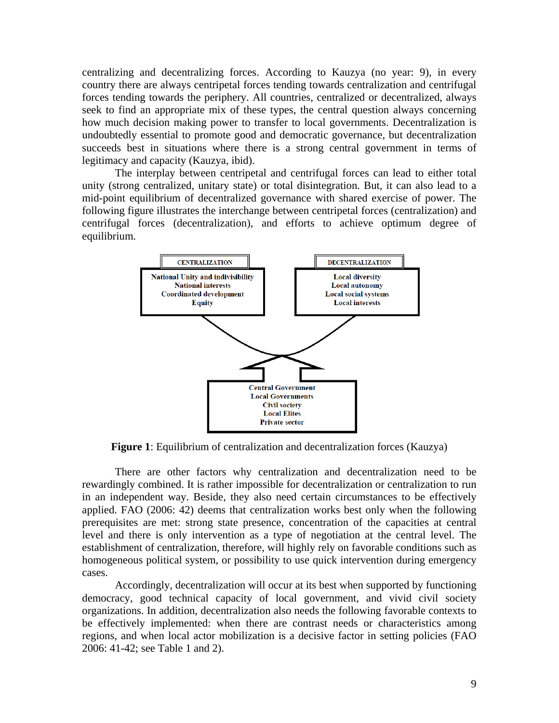centralizing and decentralizing forces. According to Kauzya (no year: 9), in every country there are always centripetal forces tending towards centralization and centrifugal forces tending towards the periphery. All countries, centralized or decentralized, always seek to find an appropriate mix of these types, the central question always concerning how much decision making power to transfer to local governments. Decentralization is undoubtedly essential to promote good and democratic governance, but decentralization succeeds best in situations where there is a strong central government in terms of legitimacy and capacity (Kauzya, ibid).

The interplay between centripetal and centrifugal forces can lead to either total unity (strong centralized, unitary state) or total disintegration. But, it can also lead to a mid-point equilibrium of decentralized governance with shared exercise of power. The following figure illustrates the interchange between centripetal forces (centralization) and centrifugal forces (decentralization), and efforts to achieve optimum degree of equilibrium.



**Figure 1**: Equilibrium of centralization and decentralization forces (Kauzya)

There are other factors why centralization and decentralization need to be rewardingly combined. It is rather impossible for decentralization or centralization to run in an independent way. Beside, they also need certain circumstances to be effectively applied. FAO (2006: 42) deems that centralization works best only when the following prerequisites are met: strong state presence, concentration of the capacities at central level and there is only intervention as a type of negotiation at the central level. The establishment of centralization, therefore, will highly rely on favorable conditions such as homogeneous political system, or possibility to use quick intervention during emergency cases.

Accordingly, decentralization will occur at its best when supported by functioning democracy, good technical capacity of local government, and vivid civil society organizations. In addition, decentralization also needs the following favorable contexts to be effectively implemented: when there are contrast needs or characteristics among regions, and when local actor mobilization is a decisive factor in setting policies (FAO 2006: 41-42; see Table 1 and 2).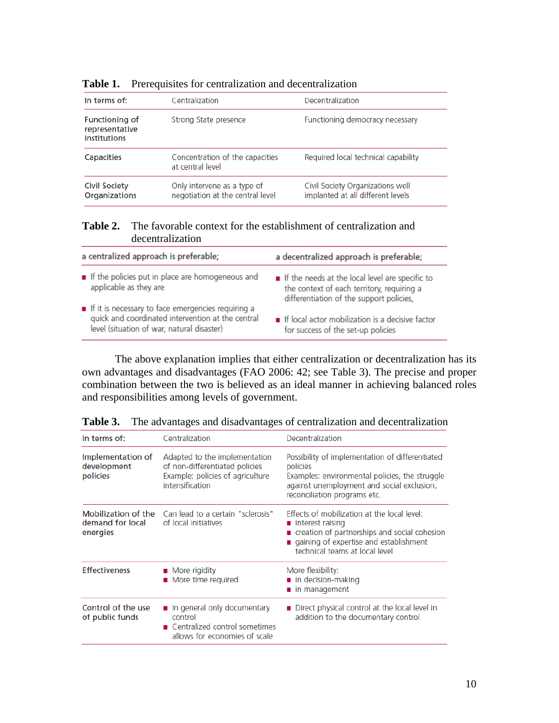| In terms of:                                            | Centralization                                                  | Decentralization                                                      |
|---------------------------------------------------------|-----------------------------------------------------------------|-----------------------------------------------------------------------|
| <b>Functioning of</b><br>representative<br>institutions | Strong State presence                                           | Functioning democracy necessary                                       |
| <b>Capacities</b>                                       | Concentration of the capacities<br>at central level             | Required local technical capability                                   |
| <b>Civil Society</b><br><b>Organizations</b>            | Only intervene as a type of<br>negotiation at the central level | Civil Society Organizations well<br>implanted at all different levels |

## **Table 1.** Prerequisites for centralization and decentralization

### **Table 2.** The favorable context for the establishment of centralization and decentralization

| a centralized approach is preferable;                                                                                                                 | a decentralized approach is preferable;                                                                                                   |
|-------------------------------------------------------------------------------------------------------------------------------------------------------|-------------------------------------------------------------------------------------------------------------------------------------------|
| If the policies put in place are homogeneous and<br>applicable as they are                                                                            | If the needs at the local level are specific to<br>the context of each territory, requiring a<br>differentiation of the support policies, |
| If it is necessary to face emergencies requiring a<br>quick and coordinated intervention at the central<br>level (situation of war, natural disaster) | If local actor mobilization is a decisive factor<br>for success of the set-up policies                                                    |

The above explanation implies that either centralization or decentralization has its own advantages and disadvantages (FAO 2006: 42; see Table 3). The precise and proper combination between the two is believed as an ideal manner in achieving balanced roles and responsibilities among levels of government.

| In terms of:                                        | Centralization                                                                                                         | Decentralization                                                                                                                                                                              |
|-----------------------------------------------------|------------------------------------------------------------------------------------------------------------------------|-----------------------------------------------------------------------------------------------------------------------------------------------------------------------------------------------|
| Implementation of<br>development<br>policies        | Adapted to the implementation<br>of non-differentiated policies<br>Example: policies of agriculture<br>intensification | Possibility of implementation of differentiated<br>policies<br>Examples: environmental policies, the struggle<br>against unemployment and social exclusion,<br>reconciliation programs etc.   |
| Mobilization of the<br>demand for local<br>energies | Can lead to a certain "sclerosis"<br>of local initiatives                                                              | Effects of mobilization at the local level:<br>■ interest raising<br>creation of partnerships and social cohesion<br>qaining of expertise and establishment<br>technical teams at local level |
| <b>Effectiveness</b>                                | <b>More</b> rigidity<br>■ More time required                                                                           | More flexibility:<br>$\blacksquare$ in decision-making<br>in management                                                                                                                       |
| Control of the use<br>of public funds               | In general only documentary<br>control<br>■ Centralized control sometimes<br>allows for economies of scale             | Direct physical control at the local level in<br>addition to the documentary control                                                                                                          |

**Table 3.** The advantages and disadvantages of centralization and decentralization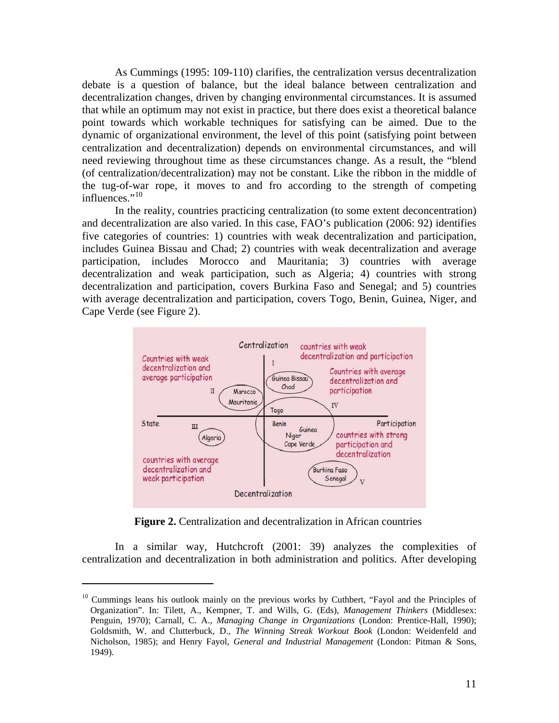As Cummings (1995: 109-110) clarifies, the centralization versus decentralization debate is a question of balance, but the ideal balance between centralization and decentralization changes, driven by changing environmental circumstances. It is assumed that while an optimum may not exist in practice, but there does exist a theoretical balance point towards which workable techniques for satisfying can be aimed. Due to the dynamic of organizational environment, the level of this point (satisfying point between centralization and decentralization) depends on environmental circumstances, and will need reviewing throughout time as these circumstances change. As a result, the "blend (of centralization/decentralization) may not be constant. Like the ribbon in the middle of the tug-of-war rope, it moves to and fro according to the strength of competing  $influences.$ <sup> $,10$  $,10$ </sup>

In the reality, countries practicing centralization (to some extent deconcentration) and decentralization are also varied. In this case, FAO's publication (2006: 92) identifies five categories of countries: 1) countries with weak decentralization and participation, includes Guinea Bissau and Chad; 2) countries with weak decentralization and average participation, includes Morocco and Mauritania; 3) countries with average decentralization and weak participation, such as Algeria; 4) countries with strong decentralization and participation, covers Burkina Faso and Senegal; and 5) countries with average decentralization and participation, covers Togo, Benin, Guinea, Niger, and Cape Verde (see Figure 2).



**Figure 2.** Centralization and decentralization in African countries

In a similar way, Hutchcroft (2001: 39) analyzes the complexities of centralization and decentralization in both administration and politics. After developing

<span id="page-11-0"></span><sup>&</sup>lt;sup>10</sup> Cummings leans his outlook mainly on the previous works by Cuthbert, "Fayol and the Principles of Organization". In: Tilett, A., Kempner, T. and Wills, G. (Eds), *Management Thinkers* (Middlesex: Penguin, 1970); Carnall, C. A., *Managing Change in Organizations* (London: Prentice-Hall, 1990); Goldsmith, W. and Clutterbuck, D., *The Winning Streak Workout Book* (London: Weidenfeld and Nicholson, 1985); and Henry Fayol, *General and Industrial Management* (London: Pitman & Sons, 1949).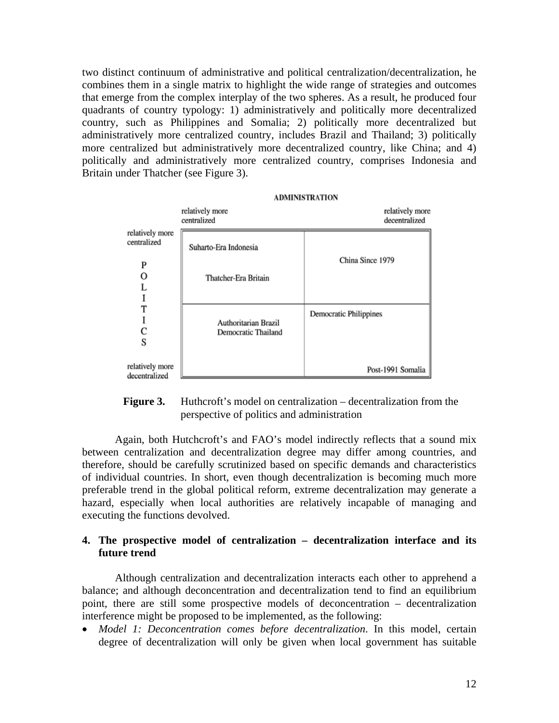two distinct continuum of administrative and political centralization/decentralization, he combines them in a single matrix to highlight the wide range of strategies and outcomes that emerge from the complex interplay of the two spheres. As a result, he produced four quadrants of country typology: 1) administratively and politically more decentralized country, such as Philippines and Somalia; 2) politically more decentralized but administratively more centralized country, includes Brazil and Thailand; 3) politically more centralized but administratively more decentralized country, like China; and 4) politically and administratively more centralized country, comprises Indonesia and Britain under Thatcher (see Figure 3).

|                                  | <b>ADMINISTRATION</b>                       |                                  |  |
|----------------------------------|---------------------------------------------|----------------------------------|--|
|                                  | relatively more<br>centralized              | relatively more<br>decentralized |  |
| relatively more<br>centralized   | Suharto-Era Indonesia                       | China Since 1979                 |  |
| P<br>O                           | Thatcher-Era Britain                        |                                  |  |
| S                                | Authoritarian Brazil<br>Democratic Thailand | Democratic Philippines           |  |
| relatively more<br>decentralized |                                             | Post-1991 Somalia                |  |



Again, both Hutchcroft's and FAO's model indirectly reflects that a sound mix between centralization and decentralization degree may differ among countries, and therefore, should be carefully scrutinized based on specific demands and characteristics of individual countries. In short, even though decentralization is becoming much more preferable trend in the global political reform, extreme decentralization may generate a hazard, especially when local authorities are relatively incapable of managing and executing the functions devolved.

## **4. The prospective model of centralization – decentralization interface and its future trend**

Although centralization and decentralization interacts each other to apprehend a balance; and although deconcentration and decentralization tend to find an equilibrium point, there are still some prospective models of deconcentration – decentralization interference might be proposed to be implemented, as the following:

• *Model 1: Deconcentration comes before decentralization*. In this model, certain degree of decentralization will only be given when local government has suitable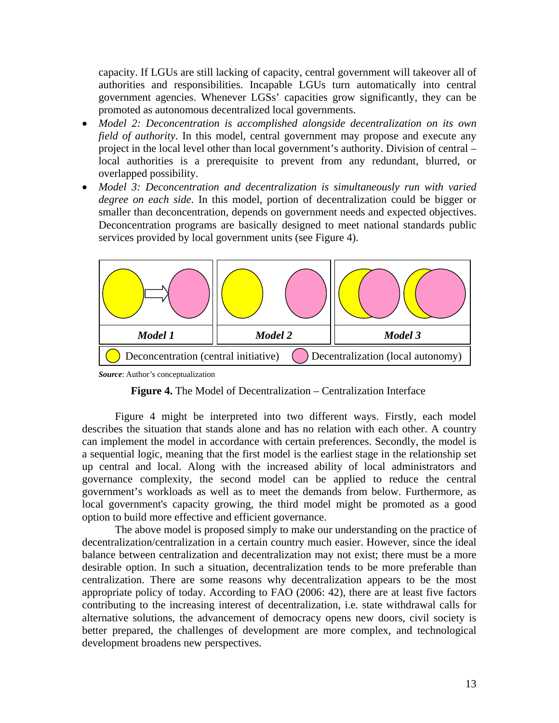capacity. If LGUs are still lacking of capacity, central government will takeover all of authorities and responsibilities. Incapable LGUs turn automatically into central government agencies. Whenever LGSs' capacities grow significantly, they can be promoted as autonomous decentralized local governments.

- *Model 2: Deconcentration is accomplished alongside decentralization on its own field of authority*. In this model, central government may propose and execute any project in the local level other than local government's authority. Division of central – local authorities is a prerequisite to prevent from any redundant, blurred, or overlapped possibility.
- *Model 3: Deconcentration and decentralization is simultaneously run with varied degree on each side*. In this model, portion of decentralization could be bigger or smaller than deconcentration, depends on government needs and expected objectives. Deconcentration programs are basically designed to meet national standards public services provided by local government units (see Figure 4).



*Source*: Author's conceptualization



Figure 4 might be interpreted into two different ways. Firstly, each model describes the situation that stands alone and has no relation with each other. A country can implement the model in accordance with certain preferences. Secondly, the model is a sequential logic, meaning that the first model is the earliest stage in the relationship set up central and local. Along with the increased ability of local administrators and governance complexity, the second model can be applied to reduce the central government's workloads as well as to meet the demands from below. Furthermore, as local government's capacity growing, the third model might be promoted as a good option to build more effective and efficient governance.

The above model is proposed simply to make our understanding on the practice of decentralization/centralization in a certain country much easier. However, since the ideal balance between centralization and decentralization may not exist; there must be a more desirable option. In such a situation, decentralization tends to be more preferable than centralization. There are some reasons why decentralization appears to be the most appropriate policy of today. According to FAO (2006: 42), there are at least five factors contributing to the increasing interest of decentralization, i.e. state withdrawal calls for alternative solutions, the advancement of democracy opens new doors, civil society is better prepared, the challenges of development are more complex, and technological development broadens new perspectives.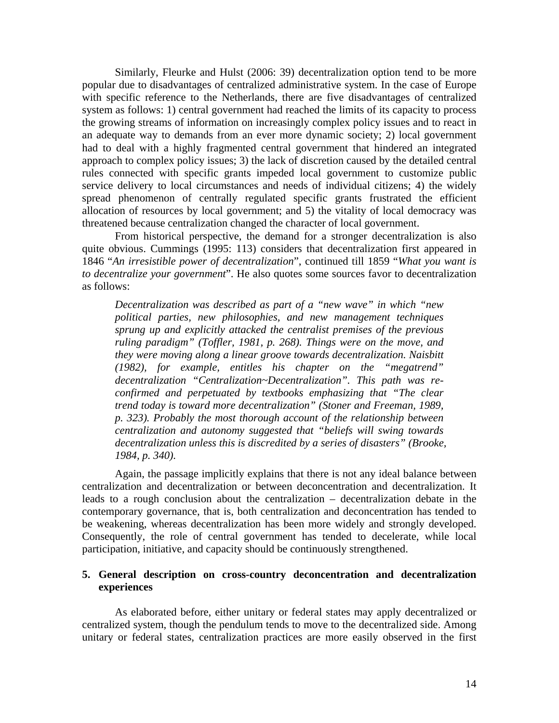Similarly, Fleurke and Hulst (2006: 39) decentralization option tend to be more popular due to disadvantages of centralized administrative system. In the case of Europe with specific reference to the Netherlands, there are five disadvantages of centralized system as follows: 1) central government had reached the limits of its capacity to process the growing streams of information on increasingly complex policy issues and to react in an adequate way to demands from an ever more dynamic society; 2) local government had to deal with a highly fragmented central government that hindered an integrated approach to complex policy issues; 3) the lack of discretion caused by the detailed central rules connected with specific grants impeded local government to customize public service delivery to local circumstances and needs of individual citizens; 4) the widely spread phenomenon of centrally regulated specific grants frustrated the efficient allocation of resources by local government; and 5) the vitality of local democracy was threatened because centralization changed the character of local government.

From historical perspective, the demand for a stronger decentralization is also quite obvious. Cummings (1995: 113) considers that decentralization first appeared in 1846 "*An irresistible power of decentralization*", continued till 1859 "*What you want is to decentralize your government*". He also quotes some sources favor to decentralization as follows:

*Decentralization was described as part of a "new wave" in which "new political parties, new philosophies, and new management techniques sprung up and explicitly attacked the centralist premises of the previous ruling paradigm" (Toffler, 1981, p. 268). Things were on the move, and they were moving along a linear groove towards decentralization. Naisbitt (1982), for example, entitles his chapter on the "megatrend" decentralization "Centralization~Decentralization". This path was reconfirmed and perpetuated by textbooks emphasizing that "The clear trend today is toward more decentralization" (Stoner and Freeman, 1989, p. 323). Probably the most thorough account of the relationship between centralization and autonomy suggested that "beliefs will swing towards decentralization unless this is discredited by a series of disasters" (Brooke, 1984, p. 340).* 

Again, the passage implicitly explains that there is not any ideal balance between centralization and decentralization or between deconcentration and decentralization. It leads to a rough conclusion about the centralization – decentralization debate in the contemporary governance, that is, both centralization and deconcentration has tended to be weakening, whereas decentralization has been more widely and strongly developed. Consequently, the role of central government has tended to decelerate, while local participation, initiative, and capacity should be continuously strengthened.

## **5. General description on cross-country deconcentration and decentralization experiences**

As elaborated before, either unitary or federal states may apply decentralized or centralized system, though the pendulum tends to move to the decentralized side. Among unitary or federal states, centralization practices are more easily observed in the first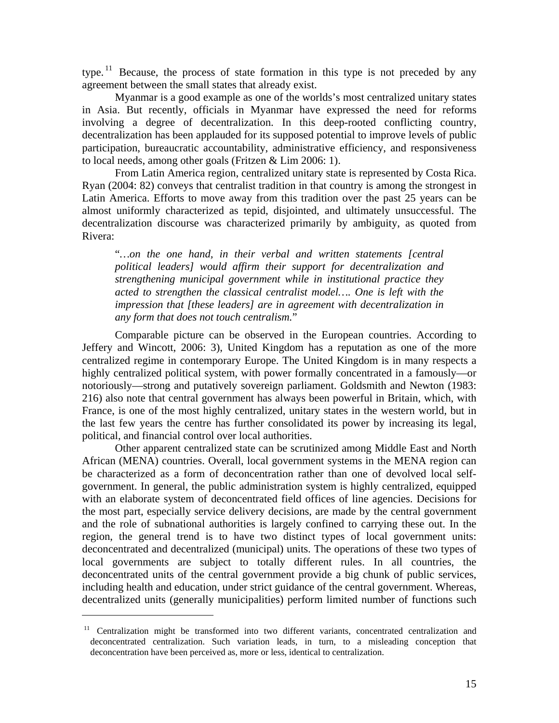type.<sup>[11](#page-15-0)</sup> Because, the process of state formation in this type is not preceded by any agreement between the small states that already exist.

Myanmar is a good example as one of the worlds's most centralized unitary states in Asia. But recently, officials in Myanmar have expressed the need for reforms involving a degree of decentralization. In this deep-rooted conflicting country, decentralization has been applauded for its supposed potential to improve levels of public participation, bureaucratic accountability, administrative efficiency, and responsiveness to local needs, among other goals (Fritzen & Lim 2006: 1).

From Latin America region, centralized unitary state is represented by Costa Rica. Ryan (2004: 82) conveys that centralist tradition in that country is among the strongest in Latin America. Efforts to move away from this tradition over the past 25 years can be almost uniformly characterized as tepid, disjointed, and ultimately unsuccessful. The decentralization discourse was characterized primarily by ambiguity, as quoted from Rivera:

"*…on the one hand, in their verbal and written statements [central political leaders] would affirm their support for decentralization and strengthening municipal government while in institutional practice they acted to strengthen the classical centralist model…. One is left with the impression that [these leaders] are in agreement with decentralization in any form that does not touch centralism.*"

Comparable picture can be observed in the European countries. According to Jeffery and Wincott, 2006: 3), United Kingdom has a reputation as one of the more centralized regime in contemporary Europe. The United Kingdom is in many respects a highly centralized political system, with power formally concentrated in a famously—or notoriously—strong and putatively sovereign parliament. Goldsmith and Newton (1983: 216) also note that central government has always been powerful in Britain, which, with France, is one of the most highly centralized, unitary states in the western world, but in the last few years the centre has further consolidated its power by increasing its legal, political, and financial control over local authorities.

Other apparent centralized state can be scrutinized among Middle East and North African (MENA) countries. Overall, local government systems in the MENA region can be characterized as a form of deconcentration rather than one of devolved local selfgovernment. In general, the public administration system is highly centralized, equipped with an elaborate system of deconcentrated field offices of line agencies. Decisions for the most part, especially service delivery decisions, are made by the central government and the role of subnational authorities is largely confined to carrying these out. In the region, the general trend is to have two distinct types of local government units: deconcentrated and decentralized (municipal) units. The operations of these two types of local governments are subject to totally different rules. In all countries, the deconcentrated units of the central government provide a big chunk of public services, including health and education, under strict guidance of the central government. Whereas, decentralized units (generally municipalities) perform limited number of functions such

<span id="page-15-0"></span><sup>&</sup>lt;sup>11</sup> Centralization might be transformed into two different variants, concentrated centralization and deconcentrated centralization. Such variation leads, in turn, to a misleading conception that deconcentration have been perceived as, more or less, identical to centralization.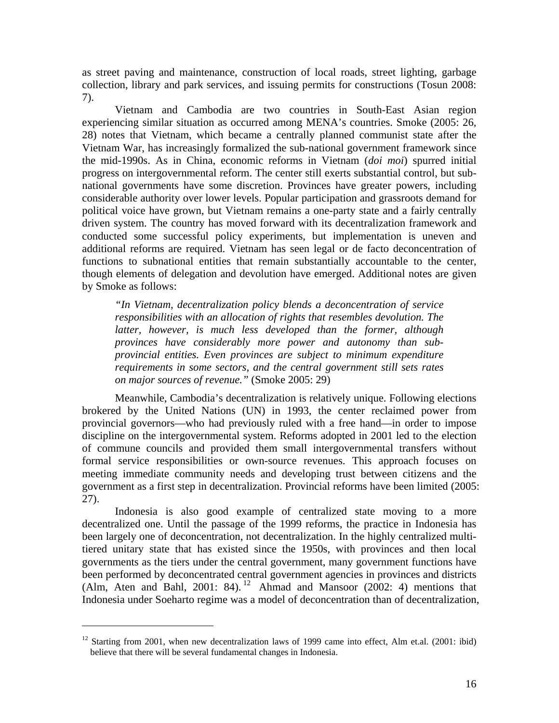as street paving and maintenance, construction of local roads, street lighting, garbage collection, library and park services, and issuing permits for constructions (Tosun 2008: 7).

Vietnam and Cambodia are two countries in South-East Asian region experiencing similar situation as occurred among MENA's countries. Smoke (2005: 26, 28) notes that Vietnam, which became a centrally planned communist state after the Vietnam War, has increasingly formalized the sub-national government framework since the mid-1990s. As in China, economic reforms in Vietnam (*doi moi*) spurred initial progress on intergovernmental reform. The center still exerts substantial control, but subnational governments have some discretion. Provinces have greater powers, including considerable authority over lower levels. Popular participation and grassroots demand for political voice have grown, but Vietnam remains a one-party state and a fairly centrally driven system. The country has moved forward with its decentralization framework and conducted some successful policy experiments, but implementation is uneven and additional reforms are required. Vietnam has seen legal or de facto deconcentration of functions to subnational entities that remain substantially accountable to the center, though elements of delegation and devolution have emerged. Additional notes are given by Smoke as follows:

*"In Vietnam, decentralization policy blends a deconcentration of service responsibilities with an allocation of rights that resembles devolution. The latter, however, is much less developed than the former, although provinces have considerably more power and autonomy than subprovincial entities. Even provinces are subject to minimum expenditure requirements in some sectors, and the central government still sets rates on major sources of revenue."* (Smoke 2005: 29)

Meanwhile, Cambodia's decentralization is relatively unique. Following elections brokered by the United Nations (UN) in 1993, the center reclaimed power from provincial governors—who had previously ruled with a free hand—in order to impose discipline on the intergovernmental system. Reforms adopted in 2001 led to the election of commune councils and provided them small intergovernmental transfers without formal service responsibilities or own-source revenues. This approach focuses on meeting immediate community needs and developing trust between citizens and the government as a first step in decentralization. Provincial reforms have been limited (2005: 27).

Indonesia is also good example of centralized state moving to a more decentralized one. Until the passage of the 1999 reforms, the practice in Indonesia has been largely one of deconcentration, not decentralization. In the highly centralized multitiered unitary state that has existed since the 1950s, with provinces and then local governments as the tiers under the central government, many government functions have been performed by deconcentrated central government agencies in provinces and districts (Alm, Aten and Bahl, 2001: 84). <sup>[12](#page-16-0)</sup> Ahmad and Mansoor (2002: 4) mentions that Indonesia under Soeharto regime was a model of deconcentration than of decentralization,

<span id="page-16-0"></span> $12$  Starting from 2001, when new decentralization laws of 1999 came into effect, Alm et.al. (2001: ibid) believe that there will be several fundamental changes in Indonesia.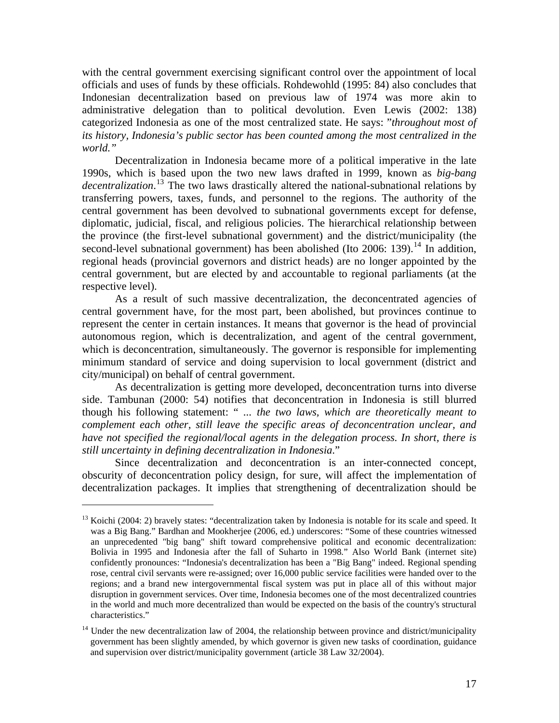with the central government exercising significant control over the appointment of local officials and uses of funds by these officials. Rohdewohld (1995: 84) also concludes that Indonesian decentralization based on previous law of 1974 was more akin to administrative delegation than to political devolution. Even Lewis (2002: 138) categorized Indonesia as one of the most centralized state. He says: "*throughout most of its history, Indonesia's public sector has been counted among the most centralized in the world."*

Decentralization in Indonesia became more of a political imperative in the late 1990s, which is based upon the two new laws drafted in 1999, known as *big-bang decentralization*. [13](#page-17-0) The two laws drastically altered the national-subnational relations by transferring powers, taxes, funds, and personnel to the regions. The authority of the central government has been devolved to subnational governments except for defense, diplomatic, judicial, fiscal, and religious policies. The hierarchical relationship between the province (the first-level subnational government) and the district/municipality (the second-level subnational government) has been abolished (Ito 2006: 139).<sup>[14](#page-17-1)</sup> In addition, regional heads (provincial governors and district heads) are no longer appointed by the central government, but are elected by and accountable to regional parliaments (at the respective level).

As a result of such massive decentralization, the deconcentrated agencies of central government have, for the most part, been abolished, but provinces continue to represent the center in certain instances. It means that governor is the head of provincial autonomous region, which is decentralization, and agent of the central government, which is deconcentration, simultaneously. The governor is responsible for implementing minimum standard of service and doing supervision to local government (district and city/municipal) on behalf of central government.

As decentralization is getting more developed, deconcentration turns into diverse side. Tambunan (2000: 54) notifies that deconcentration in Indonesia is still blurred though his following statement: " *... the two laws, which are theoretically meant to complement each other, still leave the specific areas of deconcentration unclear, and have not specified the regional/local agents in the delegation process. In short, there is still uncertainty in defining decentralization in Indonesia*."

Since decentralization and deconcentration is an inter-connected concept, obscurity of deconcentration policy design, for sure, will affect the implementation of decentralization packages. It implies that strengthening of decentralization should be

<span id="page-17-0"></span><sup>&</sup>lt;sup>13</sup> Koichi (2004: 2) bravely states: "decentralization taken by Indonesia is notable for its scale and speed. It was a Big Bang." Bardhan and Mookherjee (2006, ed.) underscores: "Some of these countries witnessed an unprecedented "big bang" shift toward comprehensive political and economic decentralization: Bolivia in 1995 and Indonesia after the fall of Suharto in 1998*.*" Also World Bank (internet site) confidently pronounces: "Indonesia's decentralization has been a "Big Bang" indeed. Regional spending rose, central civil servants were re-assigned; over 16,000 public service facilities were handed over to the regions; and a brand new intergovernmental fiscal system was put in place all of this without major disruption in government services. Over time, Indonesia becomes one of the most decentralized countries in the world and much more decentralized than would be expected on the basis of the country's structural characteristics."

<span id="page-17-1"></span><sup>&</sup>lt;sup>14</sup> Under the new decentralization law of 2004, the relationship between province and district/municipality government has been slightly amended, by which governor is given new tasks of coordination, guidance and supervision over district/municipality government (article 38 Law 32/2004).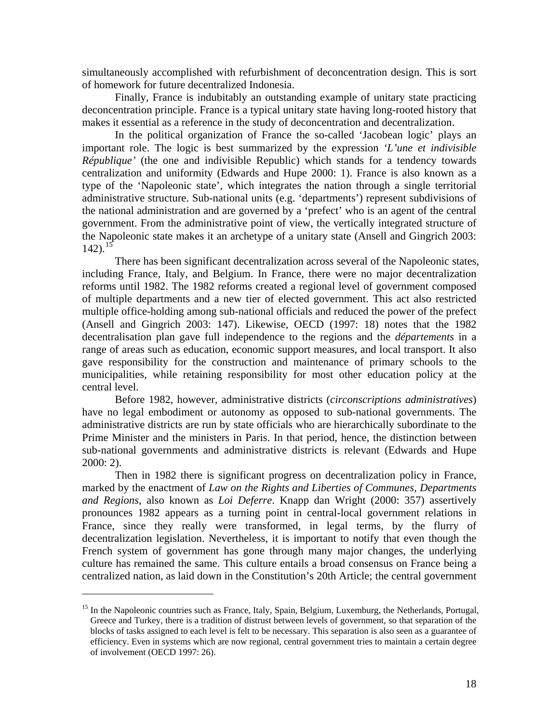simultaneously accomplished with refurbishment of deconcentration design. This is sort of homework for future decentralized Indonesia.

Finally, France is indubitably an outstanding example of unitary state practicing deconcentration principle. France is a typical unitary state having long-rooted history that makes it essential as a reference in the study of deconcentration and decentralization.

In the political organization of France the so-called 'Jacobean logic' plays an important role. The logic is best summarized by the expression *'L'une et indivisible République'* (the one and indivisible Republic) which stands for a tendency towards centralization and uniformity (Edwards and Hupe 2000: 1). France is also known as a type of the 'Napoleonic state', which integrates the nation through a single territorial administrative structure. Sub-national units (e.g. 'departments') represent subdivisions of the national administration and are governed by a 'prefect' who is an agent of the central government. From the administrative point of view, the vertically integrated structure of the Napoleonic state makes it an archetype of a unitary state (Ansell and Gingrich 2003:  $142$ ).<sup>[15](#page-18-0)</sup>

There has been significant decentralization across several of the Napoleonic states, including France, Italy, and Belgium. In France, there were no major decentralization reforms until 1982. The 1982 reforms created a regional level of government composed of multiple departments and a new tier of elected government. This act also restricted multiple office-holding among sub-national officials and reduced the power of the prefect (Ansell and Gingrich 2003: 147). Likewise, OECD (1997: 18) notes that the 1982 decentralisation plan gave full independence to the regions and the *départements* in a range of areas such as education, economic support measures, and local transport. It also gave responsibility for the construction and maintenance of primary schools to the municipalities, while retaining responsibility for most other education policy at the central level.

Before 1982, however, administrative districts (*circonscriptions administratives*) have no legal embodiment or autonomy as opposed to sub-national governments. The administrative districts are run by state officials who are hierarchically subordinate to the Prime Minister and the ministers in Paris. In that period, hence, the distinction between sub-national governments and administrative districts is relevant (Edwards and Hupe 2000: 2).

Then in 1982 there is significant progress on decentralization policy in France, marked by the enactment of *Law on the Rights and Liberties of Communes, Departments and Regions*, also known as *Loi Deferre*. Knapp dan Wright (2000: 357) assertively pronounces 1982 appears as a turning point in central-local government relations in France, since they really were transformed, in legal terms, by the flurry of decentralization legislation. Nevertheless, it is important to notify that even though the French system of government has gone through many major changes, the underlying culture has remained the same. This culture entails a broad consensus on France being a centralized nation, as laid down in the Constitution's 20th Article; the central government

<span id="page-18-0"></span><sup>&</sup>lt;sup>15</sup> In the Napoleonic countries such as France, Italy, Spain, Belgium, Luxemburg, the Netherlands, Portugal, Greece and Turkey, there is a tradition of distrust between levels of government, so that separation of the blocks of tasks assigned to each level is felt to be necessary. This separation is also seen as a guarantee of efficiency. Even in systems which are now regional, central government tries to maintain a certain degree of involvement (OECD 1997: 26).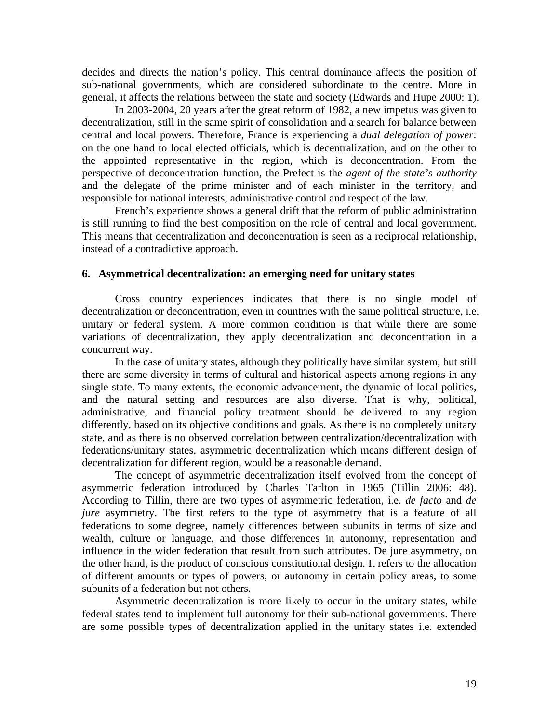decides and directs the nation's policy. This central dominance affects the position of sub-national governments, which are considered subordinate to the centre. More in general, it affects the relations between the state and society (Edwards and Hupe 2000: 1).

In 2003-2004, 20 years after the great reform of 1982, a new impetus was given to decentralization, still in the same spirit of consolidation and a search for balance between central and local powers. Therefore, France is experiencing a *dual delegation of power*: on the one hand to local elected officials, which is decentralization, and on the other to the appointed representative in the region, which is deconcentration. From the perspective of deconcentration function, the Prefect is the *agent of the state's authority* and the delegate of the prime minister and of each minister in the territory, and responsible for national interests, administrative control and respect of the law.

French's experience shows a general drift that the reform of public administration is still running to find the best composition on the role of central and local government. This means that decentralization and deconcentration is seen as a reciprocal relationship, instead of a contradictive approach.

#### **6. Asymmetrical decentralization: an emerging need for unitary states**

Cross country experiences indicates that there is no single model of decentralization or deconcentration, even in countries with the same political structure, i.e. unitary or federal system. A more common condition is that while there are some variations of decentralization, they apply decentralization and deconcentration in a concurrent way.

In the case of unitary states, although they politically have similar system, but still there are some diversity in terms of cultural and historical aspects among regions in any single state. To many extents, the economic advancement, the dynamic of local politics, and the natural setting and resources are also diverse. That is why, political, administrative, and financial policy treatment should be delivered to any region differently, based on its objective conditions and goals. As there is no completely unitary state, and as there is no observed correlation between centralization/decentralization with federations/unitary states, asymmetric decentralization which means different design of decentralization for different region, would be a reasonable demand.

The concept of asymmetric decentralization itself evolved from the concept of asymmetric federation introduced by Charles Tarlton in 1965 (Tillin 2006: 48). According to Tillin, there are two types of asymmetric federation, i.e. *de facto* and *de jure* asymmetry. The first refers to the type of asymmetry that is a feature of all federations to some degree, namely differences between subunits in terms of size and wealth, culture or language, and those differences in autonomy, representation and influence in the wider federation that result from such attributes. De jure asymmetry, on the other hand, is the product of conscious constitutional design. It refers to the allocation of different amounts or types of powers, or autonomy in certain policy areas, to some subunits of a federation but not others.

Asymmetric decentralization is more likely to occur in the unitary states, while federal states tend to implement full autonomy for their sub-national governments. There are some possible types of decentralization applied in the unitary states i.e. extended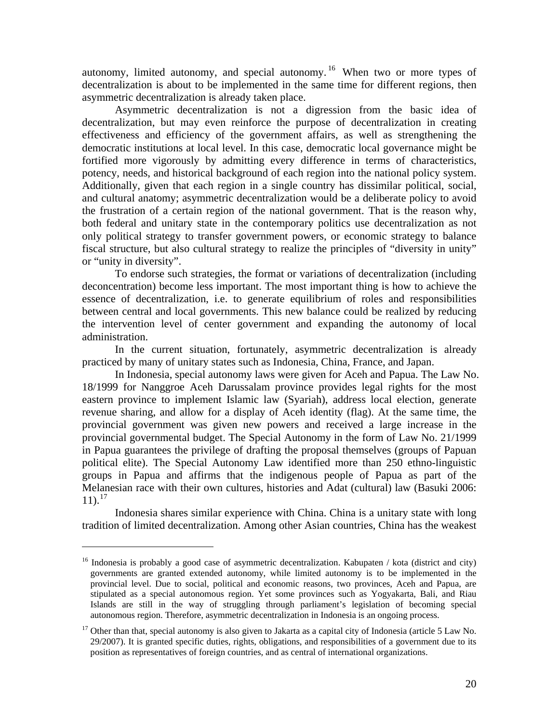autonomy, limited autonomy, and special autonomy. [16](#page-20-0) When two or more types of decentralization is about to be implemented in the same time for different regions, then asymmetric decentralization is already taken place.

Asymmetric decentralization is not a digression from the basic idea of decentralization, but may even reinforce the purpose of decentralization in creating effectiveness and efficiency of the government affairs, as well as strengthening the democratic institutions at local level. In this case, democratic local governance might be fortified more vigorously by admitting every difference in terms of characteristics, potency, needs, and historical background of each region into the national policy system. Additionally, given that each region in a single country has dissimilar political, social, and cultural anatomy; asymmetric decentralization would be a deliberate policy to avoid the frustration of a certain region of the national government. That is the reason why, both federal and unitary state in the contemporary politics use decentralization as not only political strategy to transfer government powers, or economic strategy to balance fiscal structure, but also cultural strategy to realize the principles of "diversity in unity" or "unity in diversity".

To endorse such strategies, the format or variations of decentralization (including deconcentration) become less important. The most important thing is how to achieve the essence of decentralization, i.e. to generate equilibrium of roles and responsibilities between central and local governments. This new balance could be realized by reducing the intervention level of center government and expanding the autonomy of local administration.

In the current situation, fortunately, asymmetric decentralization is already practiced by many of unitary states such as Indonesia, China, France, and Japan.

In Indonesia, special autonomy laws were given for Aceh and Papua. The Law No. 18/1999 for Nanggroe Aceh Darussalam province provides legal rights for the most eastern province to implement Islamic law (Syariah), address local election, generate revenue sharing, and allow for a display of Aceh identity (flag). At the same time, the provincial government was given new powers and received a large increase in the provincial governmental budget. The Special Autonomy in the form of Law No. 21/1999 in Papua guarantees the privilege of drafting the proposal themselves (groups of Papuan political elite). The Special Autonomy Law identified more than 250 ethno-linguistic groups in Papua and affirms that the indigenous people of Papua as part of the Melanesian race with their own cultures, histories and Adat (cultural) law (Basuki 2006:  $11$ ).<sup>[17](#page-20-1)</sup>

Indonesia shares similar experience with China. China is a unitary state with long tradition of limited decentralization. Among other Asian countries, China has the weakest

<span id="page-20-0"></span> $16$  Indonesia is probably a good case of asymmetric decentralization. Kabupaten / kota (district and city) governments are granted extended autonomy, while limited autonomy is to be implemented in the provincial level. Due to social, political and economic reasons, two provinces, Aceh and Papua, are stipulated as a special autonomous region. Yet some provinces such as Yogyakarta, Bali, and Riau Islands are still in the way of struggling through parliament's legislation of becoming special autonomous region. Therefore, asymmetric decentralization in Indonesia is an ongoing process.

<span id="page-20-1"></span> $17$  Other than that, special autonomy is also given to Jakarta as a capital city of Indonesia (article 5 Law No. 29/2007). It is granted specific duties, rights, obligations, and responsibilities of a government due to its position as representatives of foreign countries, and as central of international organizations.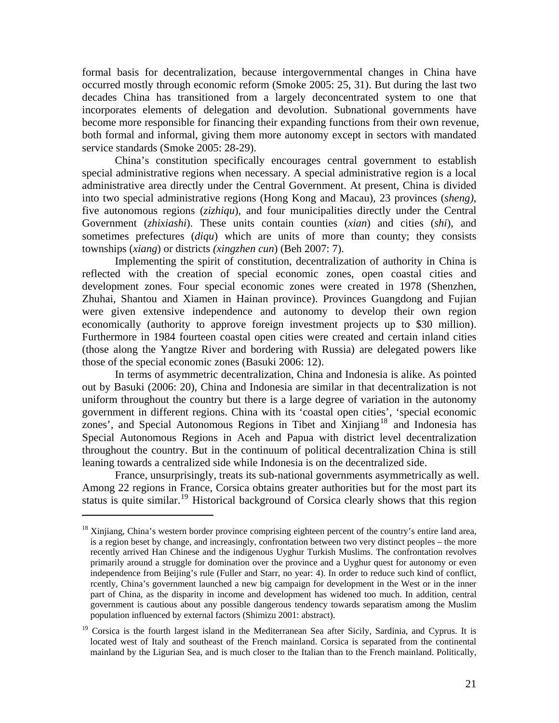formal basis for decentralization, because intergovernmental changes in China have occurred mostly through economic reform (Smoke 2005: 25, 31). But during the last two decades China has transitioned from a largely deconcentrated system to one that incorporates elements of delegation and devolution. Subnational governments have become more responsible for financing their expanding functions from their own revenue, both formal and informal, giving them more autonomy except in sectors with mandated service standards (Smoke 2005: 28-29).

China's constitution specifically encourages central government to establish special administrative regions when necessary. A special administrative region is a local administrative area directly under the Central Government. At present, China is divided into two special administrative regions (Hong Kong and Macau), 23 provinces (*sheng)*, five autonomous regions (*zizhiqu*), and four municipalities directly under the Central Government (*zhixiashi*). These units contain counties (*xian*) and cities (*shi*), and sometimes prefectures (*diqu*) which are units of more than county; they consists townships (*xiang*) or districts *(xingzhen cun*) (Beh 2007: 7).

Implementing the spirit of constitution, decentralization of authority in China is reflected with the creation of special economic zones, open coastal cities and development zones. Four special economic zones were created in 1978 (Shenzhen, Zhuhai, Shantou and Xiamen in Hainan province). Provinces Guangdong and Fujian were given extensive independence and autonomy to develop their own region economically (authority to approve foreign investment projects up to \$30 million). Furthermore in 1984 fourteen coastal open cities were created and certain inland cities (those along the Yangtze River and bordering with Russia) are delegated powers like those of the special economic zones (Basuki 2006: 12).

In terms of asymmetric decentralization, China and Indonesia is alike. As pointed out by Basuki (2006: 20), China and Indonesia are similar in that decentralization is not uniform throughout the country but there is a large degree of variation in the autonomy government in different regions. China with its 'coastal open cities', 'special economic zones', and Special Autonomous Regions in Tibet and  $\overline{\text{Xinjiang}}^{18}$  $\overline{\text{Xinjiang}}^{18}$  $\overline{\text{Xinjiang}}^{18}$  and Indonesia has Special Autonomous Regions in Aceh and Papua with district level decentralization throughout the country. But in the continuum of political decentralization China is still leaning towards a centralized side while Indonesia is on the decentralized side.

France, unsurprisingly, treats its sub-national governments asymmetrically as well. Among 22 regions in France, Corsica obtains greater authorities but for the most part its status is quite similar.<sup>[19](#page-21-1)</sup> Historical background of Corsica clearly shows that this region

<span id="page-21-0"></span><sup>&</sup>lt;sup>18</sup> Xinjiang, China's western border province comprising eighteen percent of the country's entire land area, is a region beset by change, and increasingly, confrontation between two very distinct peoples – the more recently arrived Han Chinese and the indigenous Uyghur Turkish Muslims. The confrontation revolves primarily around a struggle for domination over the province and a Uyghur quest for autonomy or even independence from Beijing's rule (Fuller and Starr, no year: 4). In order to reduce such kind of conflict, rcently, China's government launched a new big campaign for development in the West or in the inner part of China, as the disparity in income and development has widened too much. In addition, central government is cautious about any possible dangerous tendency towards separatism among the Muslim population influenced by external factors (Shimizu 2001: abstract).

<span id="page-21-1"></span><sup>&</sup>lt;sup>19</sup> Corsica is the fourth largest island in the Mediterranean Sea after Sicily, Sardinia, and Cyprus. It is located west of Italy and southeast of the French mainland. Corsica is separated from the continental mainland by the Ligurian Sea, and is much closer to the Italian than to the French mainland. Politically,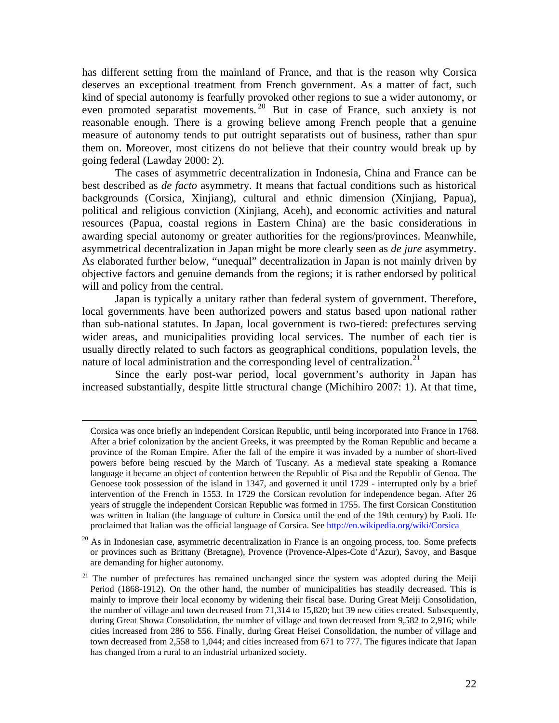has different setting from the mainland of France, and that is the reason why Corsica deserves an exceptional treatment from French government. As a matter of fact, such kind of special autonomy is fearfully provoked other regions to sue a wider autonomy, or even promoted separatist movements.<sup>[20](#page-22-0)</sup> But in case of France, such anxiety is not reasonable enough. There is a growing believe among French people that a genuine measure of autonomy tends to put outright separatists out of business, rather than spur them on. Moreover, most citizens do not believe that their country would break up by going federal (Lawday 2000: 2).

The cases of asymmetric decentralization in Indonesia, China and France can be best described as *de facto* asymmetry. It means that factual conditions such as historical backgrounds (Corsica, Xinjiang), cultural and ethnic dimension (Xinjiang, Papua), political and religious conviction (Xinjiang, Aceh), and economic activities and natural resources (Papua, coastal regions in Eastern China) are the basic considerations in awarding special autonomy or greater authorities for the regions/provinces. Meanwhile, asymmetrical decentralization in Japan might be more clearly seen as *de jure* asymmetry. As elaborated further below, "unequal" decentralization in Japan is not mainly driven by objective factors and genuine demands from the regions; it is rather endorsed by political will and policy from the central.

Japan is typically a unitary rather than federal system of government. Therefore, local governments have been authorized powers and status based upon national rather than sub-national statutes. In Japan, local government is two-tiered: prefectures serving wider areas, and municipalities providing local services. The number of each tier is usually directly related to such factors as geographical conditions, population levels, the nature of local administration and the corresponding level of centralization.<sup>[21](#page-22-1)</sup>

Since the early post-war period, local government's authority in Japan has increased substantially, despite little structural change (Michihiro 2007: 1). At that time,

Corsica was once briefly an independent Corsican Republic, until being incorporated into France in 1768. After a brief colonization by the ancient Greeks, it was preempted by the Roman Republic and became a province of the Roman Empire. After the fall of the empire it was invaded by a number of short-lived powers before being rescued by the March of Tuscany. As a medieval state speaking a Romance language it became an object of contention between the Republic of Pisa and the Republic of Genoa. The Genoese took possession of the island in 1347, and governed it until 1729 - interrupted only by a brief intervention of the French in 1553. In 1729 the Corsican revolution for independence began. After 26 years of struggle the independent Corsican Republic was formed in 1755. The first Corsican Constitution was written in Italian (the language of culture in Corsica until the end of the 19th century) by Paoli. He proclaimed that Italian was the official language of Corsica. See<http://en.wikipedia.org/wiki/Corsica>

<span id="page-22-0"></span> $20$  As in Indonesian case, asymmetric decentralization in France is an ongoing process, too. Some prefects or provinces such as Brittany (Bretagne), Provence (Provence-Alpes-Cote d'Azur), Savoy, and Basque are demanding for higher autonomy.

<span id="page-22-1"></span><sup>&</sup>lt;sup>21</sup> The number of prefectures has remained unchanged since the system was adopted during the Meiji Period (1868-1912). On the other hand, the number of municipalities has steadily decreased. This is mainly to improve their local economy by widening their fiscal base. During Great Meiji Consolidation, the number of village and town decreased from 71,314 to 15,820; but 39 new cities created. Subsequently, during Great Showa Consolidation, the number of village and town decreased from 9,582 to 2,916; while cities increased from 286 to 556. Finally, during Great Heisei Consolidation, the number of village and town decreased from 2,558 to 1,044; and cities increased from 671 to 777. The figures indicate that Japan has changed from a rural to an industrial urbanized society.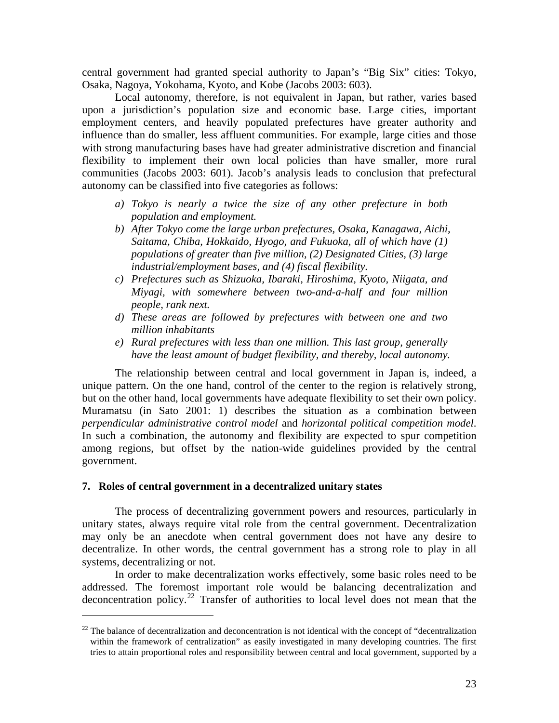central government had granted special authority to Japan's "Big Six" cities: Tokyo, Osaka, Nagoya, Yokohama, Kyoto, and Kobe (Jacobs 2003: 603).

Local autonomy, therefore, is not equivalent in Japan, but rather, varies based upon a jurisdiction's population size and economic base. Large cities, important employment centers, and heavily populated prefectures have greater authority and influence than do smaller, less affluent communities. For example, large cities and those with strong manufacturing bases have had greater administrative discretion and financial flexibility to implement their own local policies than have smaller, more rural communities (Jacobs 2003: 601). Jacob's analysis leads to conclusion that prefectural autonomy can be classified into five categories as follows:

- *a) Tokyo is nearly a twice the size of any other prefecture in both population and employment.*
- *b) After Tokyo come the large urban prefectures, Osaka, Kanagawa, Aichi, Saitama, Chiba, Hokkaido, Hyogo, and Fukuoka, all of which have (1) populations of greater than five million, (2) Designated Cities, (3) large industrial/employment bases, and (4) fiscal flexibility.*
- *c) Prefectures such as Shizuoka, Ibaraki, Hiroshima, Kyoto, Niigata, and Miyagi, with somewhere between two-and-a-half and four million people, rank next.*
- *d) These areas are followed by prefectures with between one and two million inhabitants*
- *e) Rural prefectures with less than one million. This last group, generally have the least amount of budget flexibility, and thereby, local autonomy.*

The relationship between central and local government in Japan is, indeed, a unique pattern. On the one hand, control of the center to the region is relatively strong, but on the other hand, local governments have adequate flexibility to set their own policy. Muramatsu (in Sato 2001: 1) describes the situation as a combination between *perpendicular administrative control model* and *horizontal political competition model*. In such a combination, the autonomy and flexibility are expected to spur competition among regions, but offset by the nation-wide guidelines provided by the central government.

#### **7. Roles of central government in a decentralized unitary states**

 $\overline{a}$ 

The process of decentralizing government powers and resources, particularly in unitary states, always require vital role from the central government. Decentralization may only be an anecdote when central government does not have any desire to decentralize. In other words, the central government has a strong role to play in all systems, decentralizing or not.

In order to make decentralization works effectively, some basic roles need to be addressed. The foremost important role would be balancing decentralization and deconcentration policy.<sup>[22](#page-23-0)</sup> Transfer of authorities to local level does not mean that the

<span id="page-23-0"></span><sup>&</sup>lt;sup>22</sup> The balance of decentralization and deconcentration is not identical with the concept of "decentralization" within the framework of centralization" as easily investigated in many developing countries. The first tries to attain proportional roles and responsibility between central and local government, supported by a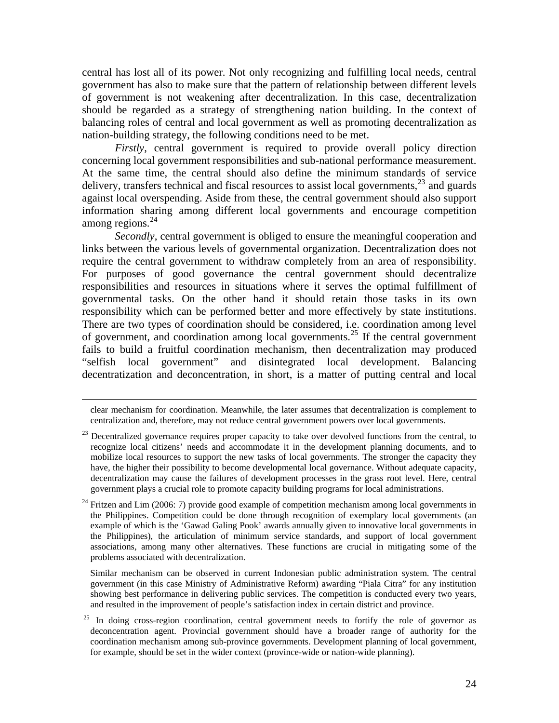central has lost all of its power. Not only recognizing and fulfilling local needs, central government has also to make sure that the pattern of relationship between different levels of government is not weakening after decentralization. In this case, decentralization should be regarded as a strategy of strengthening nation building. In the context of balancing roles of central and local government as well as promoting decentralization as nation-building strategy, the following conditions need to be met.

*Firstly*, central government is required to provide overall policy direction concerning local government responsibilities and sub-national performance measurement. At the same time, the central should also define the minimum standards of service delivery, transfers technical and fiscal resources to assist local governments,  $23$  and guards against local overspending. Aside from these, the central government should also support information sharing among different local governments and encourage competition among regions. $^{24}$  $^{24}$  $^{24}$ 

*Secondly*, central government is obliged to ensure the meaningful cooperation and links between the various levels of governmental organization. Decentralization does not require the central government to withdraw completely from an area of responsibility. For purposes of good governance the central government should decentralize responsibilities and resources in situations where it serves the optimal fulfillment of governmental tasks. On the other hand it should retain those tasks in its own responsibility which can be performed better and more effectively by state institutions. There are two types of coordination should be considered, i.e. coordination among level of government, and coordination among local governments.<sup>[25](#page-24-2)</sup> If the central government fails to build a fruitful coordination mechanism, then decentralization may produced "selfish local government" and disintegrated local development. Balancing decentratization and deconcentration, in short, is a matter of putting central and local

 clear mechanism for coordination. Meanwhile, the later assumes that decentralization is complement to centralization and, therefore, may not reduce central government powers over local governments.

 Similar mechanism can be observed in current Indonesian public administration system. The central government (in this case Ministry of Administrative Reform) awarding "Piala Citra" for any institution showing best performance in delivering public services. The competition is conducted every two years, and resulted in the improvement of people's satisfaction index in certain district and province.

<span id="page-24-0"></span><sup>&</sup>lt;sup>23</sup> Decentralized governance requires proper capacity to take over devolved functions from the central, to recognize local citizens' needs and accommodate it in the development planning documents, and to mobilize local resources to support the new tasks of local governments. The stronger the capacity they have, the higher their possibility to become developmental local governance. Without adequate capacity, decentralization may cause the failures of development processes in the grass root level. Here, central government plays a crucial role to promote capacity building programs for local administrations.

<span id="page-24-1"></span> $24$  Fritzen and Lim (2006: 7) provide good example of competition mechanism among local governments in the Philippines. Competition could be done through recognition of exemplary local governments (an example of which is the 'Gawad Galing Pook' awards annually given to innovative local governments in the Philippines), the articulation of minimum service standards, and support of local government associations, among many other alternatives. These functions are crucial in mitigating some of the problems associated with decentralization.

<span id="page-24-2"></span> $^{25}$  In doing cross-region coordination, central government needs to fortify the role of governor as deconcentration agent. Provincial government should have a broader range of authority for the coordination mechanism among sub-province governments. Development planning of local government, for example, should be set in the wider context (province-wide or nation-wide planning).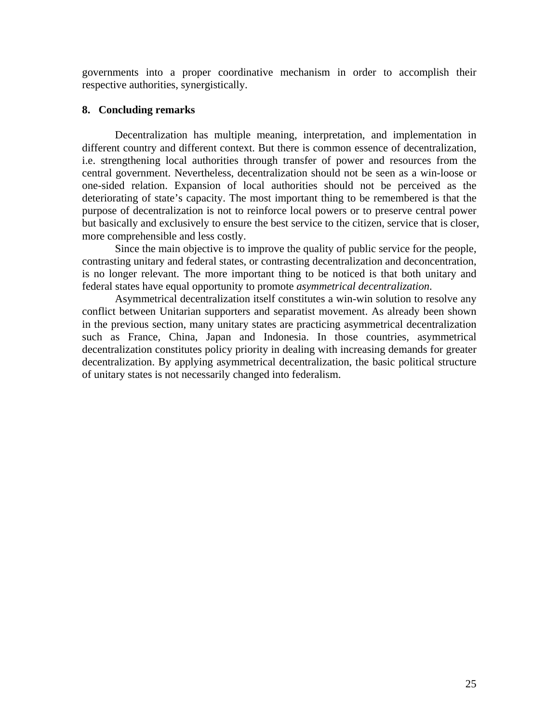governments into a proper coordinative mechanism in order to accomplish their respective authorities, synergistically.

## **8. Concluding remarks**

Decentralization has multiple meaning, interpretation, and implementation in different country and different context. But there is common essence of decentralization, i.e. strengthening local authorities through transfer of power and resources from the central government. Nevertheless, decentralization should not be seen as a win-loose or one-sided relation. Expansion of local authorities should not be perceived as the deteriorating of state's capacity. The most important thing to be remembered is that the purpose of decentralization is not to reinforce local powers or to preserve central power but basically and exclusively to ensure the best service to the citizen, service that is closer, more comprehensible and less costly.

Since the main objective is to improve the quality of public service for the people, contrasting unitary and federal states, or contrasting decentralization and deconcentration, is no longer relevant. The more important thing to be noticed is that both unitary and federal states have equal opportunity to promote *asymmetrical decentralization*.

Asymmetrical decentralization itself constitutes a win-win solution to resolve any conflict between Unitarian supporters and separatist movement. As already been shown in the previous section, many unitary states are practicing asymmetrical decentralization such as France, China, Japan and Indonesia. In those countries, asymmetrical decentralization constitutes policy priority in dealing with increasing demands for greater decentralization. By applying asymmetrical decentralization, the basic political structure of unitary states is not necessarily changed into federalism.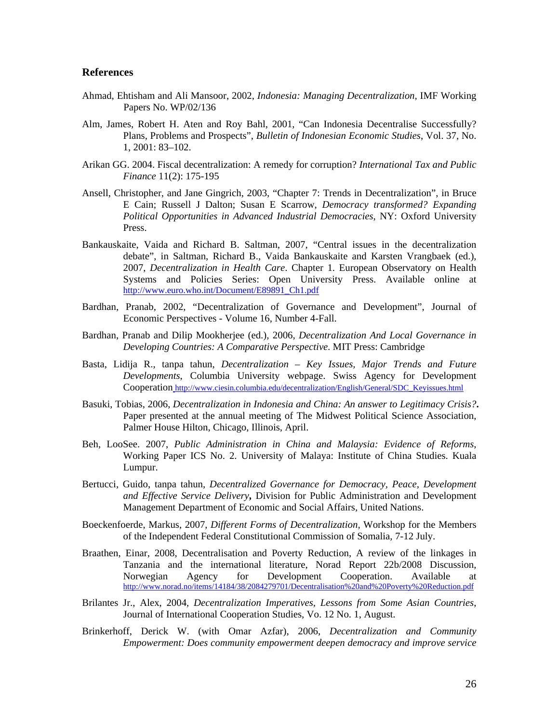#### **References**

- Ahmad, Ehtisham and Ali Mansoor, 2002, *Indonesia: Managing Decentralization*, IMF Working Papers No. WP/02/136
- Alm, James, Robert H. Aten and Roy Bahl, 2001, "Can Indonesia Decentralise Successfully? Plans, Problems and Prospects", *Bulletin of Indonesian Economic Studies*, Vol. 37, No. 1, 2001: 83–102.
- Arikan GG. 2004. Fiscal decentralization: A remedy for corruption? *International Tax and Public Finance* 11(2): 175-195
- Ansell, Christopher, and Jane Gingrich, 2003, "Chapter 7: Trends in Decentralization", in [Bruce](http://www.worldcat.org/wcpa/oclc/52784570;jsessionid=01103D6685B123CBD6A553B16BC03113.three?page=frame&url=%2fidentities%2ffind%3furl_ver%3dZ39.88-2004%26rft_val_fmt%3dinfo%3aofi%2ffmt%3akev%3amtx%3aidentity%26rft.namelast%3dCain%26rft.namefirst%3dBruce%2bE.%26rft.nameinit%3dB%26rft.nameinit1%3dB%26rft.nameinitm%3d%26rft.namesuffix%3d%26rft.nametitle%3d%26rft.date%3d%26rft.name%3d%26rft.birthdate%3d%26rft.deathdate%3d%26rft.arn%3d%26rft.title%3dDemocracy%2btransformed%253F%2b%253A%26rft_id%3dinfo%3aoclcnum%252)  [E Cain](http://www.worldcat.org/wcpa/oclc/52784570;jsessionid=01103D6685B123CBD6A553B16BC03113.three?page=frame&url=%2fidentities%2ffind%3furl_ver%3dZ39.88-2004%26rft_val_fmt%3dinfo%3aofi%2ffmt%3akev%3amtx%3aidentity%26rft.namelast%3dCain%26rft.namefirst%3dBruce%2bE.%26rft.nameinit%3dB%26rft.nameinit1%3dB%26rft.nameinitm%3d%26rft.namesuffix%3d%26rft.nametitle%3d%26rft.date%3d%26rft.name%3d%26rft.birthdate%3d%26rft.deathdate%3d%26rft.arn%3d%26rft.title%3dDemocracy%2btransformed%253F%2b%253A%26rft_id%3dinfo%3aoclcnum%252); [Russell J Dalton;](http://www.worldcat.org/wcpa/oclc/52784570;jsessionid=01103D6685B123CBD6A553B16BC03113.three?page=frame&url=%2fidentities%2ffind%3furl_ver%3dZ39.88-2004%26rft_val_fmt%3dinfo%3aofi%2ffmt%3akev%3amtx%3aidentity%26rft.namelast%3dDalton%26rft.namefirst%3dRussell%2bJ.%26rft.nameinit%3dR%26rft.nameinit1%3dR%26rft.nameinitm%3d%26rft.namesuffix%3d%26rft.nametitle%3d%26rft.date%3d%26rft.name%3d%26rft.birthdate%3d%26rft.deathdate%3d%26rft.arn%3d%26rft.title%3dDemocracy%2btransformed%253F%2b%253A%26rft_id%3dinfo%3aoclcn) [Susan E Scarrow,](http://www.worldcat.org/wcpa/oclc/52784570;jsessionid=01103D6685B123CBD6A553B16BC03113.three?page=frame&url=%2fidentities%2ffind%3furl_ver%3dZ39.88-2004%26rft_val_fmt%3dinfo%3aofi%2ffmt%3akev%3amtx%3aidentity%26rft.namelast%3dScarrow%26rft.namefirst%3dSusan%2bE.%26rft.nameinit%3dS%26rft.nameinit1%3dS%26rft.nameinitm%3d%26rft.namesuffix%3d%26rft.nametitle%3d%26rft.date%3d%26rft.name%3d%26rft.birthdate%3d%26rft.deathdate%3d%26rft.arn%3d%26rft.title%3dDemocracy%2btransformed%253F%2b%253A%26rft_id%3dinfo%3aoclcnu) *Democracy transformed? Expanding Political Opportunities in Advanced Industrial Democracies*, NY: Oxford University Press.
- Bankauskaite, Vaida and Richard B. Saltman, 2007, "Central issues in the decentralization debate", in Saltman, Richard B., Vaida Bankauskaite and Karsten Vrangbaek (ed.), 2007, *Decentralization in Health Care*. Chapter 1. European Observatory on Health Systems and Policies Series: Open University Press. Available online at [http://www.euro.who.int/Document/E89891\\_Ch1.pdf](http://www.euro.who.int/Document/E89891_Ch1.pdf)
- Bardhan, Pranab, 2002, "Decentralization of Governance and Development", Journal of Economic Perspectives - Volume 16, Number 4-Fall.
- Bardhan, Pranab and Dilip Mookherjee (ed.), 2006, *Decentralization And Local Governance in Developing Countries: A Comparative Perspective*. MIT Press: Cambridge
- Basta, Lidija R., tanpa tahun, *Decentralization Key Issues, Major Trends and Future Developments*, Columbia University webpage. Swiss Agency for Development Cooperation [http://www.ciesin.columbia.edu/decentralization/English/General/SDC\\_Keyissues.html](http://www.ciesin.columbia.edu/decentralization/English/General/SDC_Keyissues.html)
- Basuki, Tobias, 2006, *Decentralization in Indonesia and China: An answer to Legitimacy Crisis?***.**  Paper presented at the annual meeting of The Midwest Political Science Association, Palmer House Hilton, Chicago, Illinois, April.
- Beh, LooSee. 2007, *Public Administration in China and Malaysia: Evidence of Reforms*, Working Paper ICS No. 2. University of Malaya: Institute of China Studies. Kuala Lumpur.
- Bertucci, Guido, tanpa tahun, *Decentralized Governance for Democracy, Peace, Development and Effective Service Delivery***,** Division for Public Administration and Development Management Department of Economic and Social Affairs, United Nations.
- Boeckenfoerde, Markus, 2007, *Different Forms of Decentralization*, Workshop for the Members of the Independent Federal Constitutional Commission of Somalia, 7-12 July.
- Braathen, Einar, 2008, Decentralisation and Poverty Reduction, A review of the linkages in Tanzania and the international literature, Norad Report 22b/2008 Discussion, Norwegian Agency for Development Cooperation. Available at <http://www.norad.no/items/14184/38/2084279701/Decentralisation%20and%20Poverty%20Reduction.pdf>
- Brilantes Jr., Alex, 2004, *Decentralization Imperatives, Lessons from Some Asian Countries*, Journal of International Cooperation Studies, Vo. 12 No. 1, August.
- Brinkerhoff, Derick W. (with Omar Azfar), 2006, *Decentralization and Community Empowerment: Does community empowerment deepen democracy and improve service*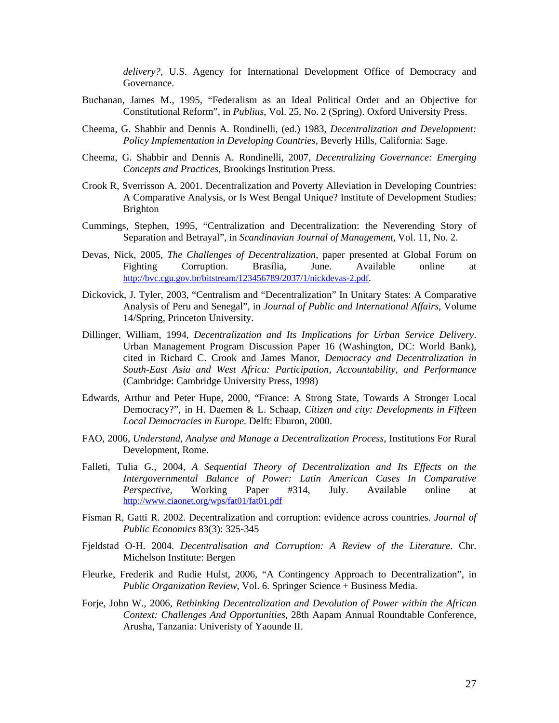*delivery?,* U.S. Agency for International Development Office of Democracy and Governance.

- Buchanan, James M., 1995, "Federalism as an Ideal Political Order and an Objective for Constitutional Reform", in *Publius*, Vol. 25, No. 2 (Spring). Oxford University Press.
- Cheema, G. Shabbir and Dennis A. Rondinelli, (ed.) 1983, *Decentralization and Development: Policy Implementation in Developing Countries,* Beverly Hills, California: Sage.
- Cheema, G. Shabbir and Dennis A. Rondinelli, 2007, *Decentralizing Governance: Emerging Concepts and Practices,* Brookings Institution Press.
- Crook R, Sverrisson A. 2001. Decentralization and Poverty Alleviation in Developing Countries: A Comparative Analysis, or Is West Bengal Unique? Institute of Development Studies: Brighton
- Cummings, Stephen, 1995, "Centralization and Decentralization: the Neverending Story of Separation and Betrayal", in *Scandinavian Journal of Management,* Vol. 11, No. 2.
- Devas, Nick, 2005, *The Challenges of Decentralization*, paper presented at Global Forum on Fighting Corruption. Brasília, June. Available online at [http://bvc.cgu.gov.br/bitstream/123456789/2037/1/nickdevas-2.pdf.](http://bvc.cgu.gov.br/bitstream/123456789/2037/1/nickdevas-2.pdf)
- Dickovick, J. Tyler, 2003, "Centralism and "Decentralization" In Unitary States: A Comparative Analysis of Peru and Senegal", in *Journal of Public and International Affairs*, Volume 14/Spring, Princeton University.
- Dillinger, William, 1994, *Decentralization and Its Implications for Urban Service Delivery*. Urban Management Program Discussion Paper 16 (Washington, DC: World Bank), cited in Richard C. Crook and James Manor, *Democracy and Decentralization in South-East Asia and West Africa: Participation, Accountability, and Performance* (Cambridge: Cambridge University Press, 1998)
- Edwards, Arthur and Peter Hupe, 2000, "France: A Strong State, Towards A Stronger Local Democracy?", in H. Daemen & L. Schaap, *Citizen and city: Developments in Fifteen Local Democracies in Europe.* Delft: Eburon, 2000.
- FAO, 2006, *Understand, Analyse and Manage a Decentralization Process*, Institutions For Rural Development, Rome.
- Falleti, Tulia G., 2004, *A Sequential Theory of Decentralization and Its Effects on the Intergovernmental Balance of Power: Latin American Cases In Comparative Perspective*, Working Paper #314, July. Available online at <http://www.ciaonet.org/wps/fat01/fat01.pdf>
- Fisman R, Gatti R. 2002. Decentralization and corruption: evidence across countries. *Journal of Public Economics* 83(3): 325-345
- Fjeldstad O-H. 2004. *Decentralisation and Corruption: A Review of the Literature*. Chr. Michelson Institute: Bergen
- Fleurke, Frederik and Rudie Hulst, 2006, "A Contingency Approach to Decentralization", in *Public Organization Review*, Vol. 6. Springer Science + Business Media.
- Forje, John W., 2006, *Rethinking Decentralization and Devolution of Power within the African Context: Challenges And Opportunities*, 28th Aapam Annual Roundtable Conference, Arusha, Tanzania: Univeristy of Yaounde II.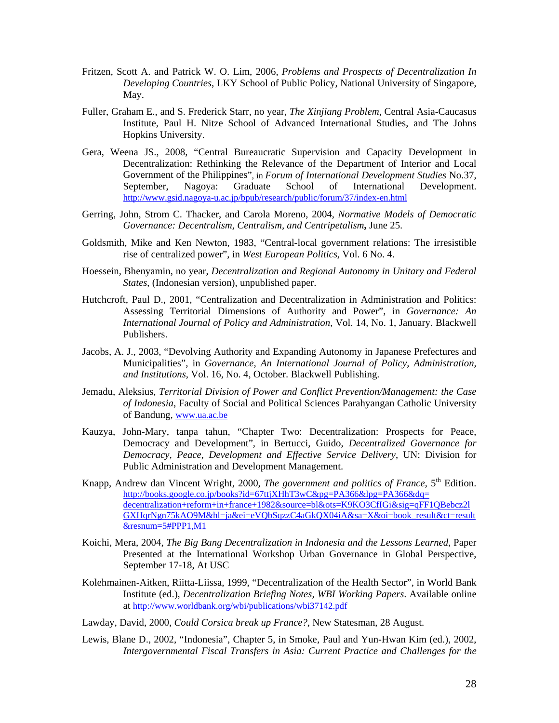- Fritzen, Scott A. and Patrick W. O. Lim, 2006, *Problems and Prospects of Decentralization In Developing Countries*, LKY School of Public Policy, National University of Singapore, May.
- Fuller, Graham E., and S. Frederick Starr, no year, *The Xinjiang Problem*, Central Asia-Caucasus Institute, Paul H. Nitze School of Advanced International Studies, and The Johns Hopkins University.
- Gera, Weena JS., 2008, ["Central Bureaucratic Supervision and Capacity Development in](http://www.gsid.nagoya-u.ac.jp/bpub/research/public/forum/37/06.pdf)  [Decentralization: Rethinking the Relevance of the Department of Interior and Local](http://www.gsid.nagoya-u.ac.jp/bpub/research/public/forum/37/06.pdf)  [Government of the Philippines](http://www.gsid.nagoya-u.ac.jp/bpub/research/public/forum/37/06.pdf)", in *Forum of International Development Studies* No.37, September, Nagoya: Graduate School of International Development. <http://www.gsid.nagoya-u.ac.jp/bpub/research/public/forum/37/index-en.html>
- Gerring, John, Strom C. Thacker, and Carola Moreno, 2004, *Normative Models of Democratic Governance: Decentralism, Centralism, and Centripetalism***,** June 25.
- Goldsmith, Mike and Ken Newton, 1983, "Central-local government relations: The irresistible rise of centralized power", in *West European Politics*, Vol. 6 No. 4.
- Hoessein, Bhenyamin, no year, *Decentralization and Regional Autonomy in Unitary and Federal States*, (Indonesian version), unpublished paper.
- Hutchcroft, Paul D., 2001, "Centralization and Decentralization in Administration and Politics: Assessing Territorial Dimensions of Authority and Power", in *Governance: An International Journal of Policy and Administration*, Vol. 14, No. 1, January. Blackwell Publishers.
- Jacobs, A. J., 2003, "Devolving Authority and Expanding Autonomy in Japanese Prefectures and Municipalities", in *Governance*, *An International Journal of Policy, Administration, and Institutions*, Vol. 16, No. 4, October. Blackwell Publishing.
- Jemadu, Aleksius, *Territorial Division of Power and Conflict Prevention/Management: the Case of Indonesia*, Faculty of Social and Political Sciences Parahyangan Catholic University of Bandung, [www.ua.ac.be](http://www.ua.ac.be/)
- Kauzya, John-Mary, tanpa tahun, "Chapter Two: Decentralization: Prospects for Peace, Democracy and Development", in Bertucci, Guido, *Decentralized Governance for Democracy, Peace, Development and Effective Service Delivery*, UN: Division for Public Administration and Development Management.
- Knapp, Andrew dan Vincent Wright, 2000, *The government and politics of France*, 5<sup>th</sup> Edition. [http://books.google.co.jp/books?id=67ttjXHhT3wC&pg=PA366&lpg=PA366&dq=](http://books.google.co.jp/books?id=67ttjXHhT3wC&pg=PA366&lpg=PA366&dq=decentralization+reform+in+france+1982&source=bl&ots=K9KO3CfIGi&sig=qFF1QBebcz2lGXHqrNgn75kAO9M&hl=ja&ei=eVQbSqzzC4aGkQX04iA&sa=X&oi=book_result&ct=result&resnum=5#PPP1,M1)  [decentralization+reform+in+france+1982&source=bl&ots=K9KO3CfIGi&sig=qFF1QBebcz2l](http://books.google.co.jp/books?id=67ttjXHhT3wC&pg=PA366&lpg=PA366&dq=decentralization+reform+in+france+1982&source=bl&ots=K9KO3CfIGi&sig=qFF1QBebcz2lGXHqrNgn75kAO9M&hl=ja&ei=eVQbSqzzC4aGkQX04iA&sa=X&oi=book_result&ct=result&resnum=5#PPP1,M1) [GXHqrNgn75kAO9M&hl=ja&ei=eVQbSqzzC4aGkQX04iA&sa=X&oi=book\\_result&ct=result](http://books.google.co.jp/books?id=67ttjXHhT3wC&pg=PA366&lpg=PA366&dq=decentralization+reform+in+france+1982&source=bl&ots=K9KO3CfIGi&sig=qFF1QBebcz2lGXHqrNgn75kAO9M&hl=ja&ei=eVQbSqzzC4aGkQX04iA&sa=X&oi=book_result&ct=result&resnum=5#PPP1,M1) [&resnum=5#PPP1,M1](http://books.google.co.jp/books?id=67ttjXHhT3wC&pg=PA366&lpg=PA366&dq=decentralization+reform+in+france+1982&source=bl&ots=K9KO3CfIGi&sig=qFF1QBebcz2lGXHqrNgn75kAO9M&hl=ja&ei=eVQbSqzzC4aGkQX04iA&sa=X&oi=book_result&ct=result&resnum=5#PPP1,M1)
- Koichi, Mera, 2004, *The Big Bang Decentralization in Indonesia and the Lessons Learned*, Paper Presented at the International Workshop Urban Governance in Global Perspective, September 17-18, At USC
- Kolehmainen-Aitken, Riitta-Liissa, 1999, "Decentralization of the Health Sector", in World Bank Institute (ed.), *Decentralization Briefing Notes, WBI Working Papers*. Available online at <http://www.worldbank.org/wbi/publications/wbi37142.pdf>
- Lawday, David, 2000, *Could Corsica break up France?*, New Statesman, 28 August.
- Lewis, Blane D., 2002, "Indonesia", Chapter 5, in Smoke, Paul and Yun-Hwan Kim (ed.), 2002, *Intergovernmental Fiscal Transfers in Asia: Current Practice and Challenges for the*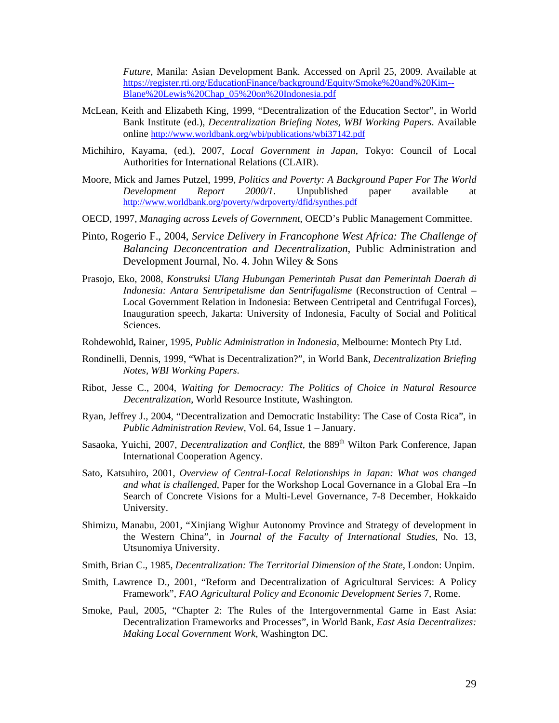*Future*, Manila: Asian Development Bank. Accessed on April 25, 2009. Available at [https://register.rti.org/EducationFinance/background/Equity/Smoke%20and%20Kim--](https://register.rti.org/EducationFinance/background/Equity/Smoke%20and%20Kim--Blane%20Lewis%20Chap_05%20on%20Indonesia.pdf) [Blane%20Lewis%20Chap\\_05%20on%20Indonesia.pdf](https://register.rti.org/EducationFinance/background/Equity/Smoke%20and%20Kim--Blane%20Lewis%20Chap_05%20on%20Indonesia.pdf)

- McLean, Keith and Elizabeth King, 1999, "Decentralization of the Education Sector", in World Bank Institute (ed.), *Decentralization Briefing Notes, WBI Working Papers*. Available online <http://www.worldbank.org/wbi/publications/wbi37142.pdf>
- Michihiro, Kayama, (ed.), 2007, *Local Government in Japan*, Tokyo: Council of Local Authorities for International Relations (CLAIR).
- Moore, Mick and James Putzel, 1999, *Politics and Poverty: A Background Paper For The World Development Report 2000/1*. Unpublished paper available at <http://www.worldbank.org/poverty/wdrpoverty/dfid/synthes.pdf>
- OECD, 1997, *Managing across Levels of Government*, OECD's Public Management Committee.
- Pinto, Rogerio F., 2004, *Service Delivery in Francophone West Africa: The Challenge of Balancing Deconcentration and Decentralization*, Public Administration and Development Journal, No. 4. John Wiley & Sons
- Prasojo, Eko, 2008, *[Konstruksi Ulang Hubungan Pemerintah Pusat dan Pemerintah Daerah di](http://ekoprasojo.com/2008/04/08/konstruksi-ulang-hubungan-pemerintah-pusat-dan-pemerintah-daerah-di-indonesia-antara-sentripetalisme-dan-sentrifugalisme/)  [Indonesia: Antara Sentripetalisme dan Sentrifugalisme](http://ekoprasojo.com/2008/04/08/konstruksi-ulang-hubungan-pemerintah-pusat-dan-pemerintah-daerah-di-indonesia-antara-sentripetalisme-dan-sentrifugalisme/)* (Reconstruction of Central – Local Government Relation in Indonesia: Between Centripetal and Centrifugal Forces), Inauguration speech, Jakarta: University of Indonesia, Faculty of Social and Political Sciences.
- Rohdewohld**,** Rainer, 1995, *Public Administration in Indonesia*, Melbourne: Montech Pty Ltd.
- Rondinelli, Dennis, 1999, "What is Decentralization?", in World Bank, *Decentralization Briefing Notes, WBI Working Papers*.
- Ribot, Jesse C., 2004, *Waiting for Democracy: The Politics of Choice in Natural Resource Decentralization*, World Resource Institute, Washington.
- Ryan, Jeffrey J., 2004, "Decentralization and Democratic Instability: The Case of Costa Rica", in *Public Administration Review*, Vol. 64, Issue 1 – January.
- Sasaoka, Yuichi, 2007, *Decentralization and Conflict*, the 889<sup>th</sup> Wilton Park Conference, Japan International Cooperation Agency.
- Sato, Katsuhiro, 2001, *Overview of Central-Local Relationships in Japan: What was changed and what is challenged*, Paper for the Workshop Local Governance in a Global Era –In Search of Concrete Visions for a Multi-Level Governance, 7-8 December, Hokkaido University.
- Shimizu, Manabu, 2001, "Xinjiang Wighur Autonomy Province and Strategy of development in the Western China", in *Journal of the Faculty of International Studies*, No. 13, Utsunomiya University.
- Smith, Brian C., 1985, *Decentralization: The Territorial Dimension of the State*, London: Unpim.
- Smith, Lawrence D., 2001, "Reform and Decentralization of Agricultural Services: A Policy Framework", *FAO Agricultural Policy and Economic Development Series* 7, Rome.
- Smoke, Paul, 2005, "Chapter 2: The Rules of the Intergovernmental Game in East Asia: Decentralization Frameworks and Processes", in World Bank, *East Asia Decentralizes: Making Local Government Work*, Washington DC.